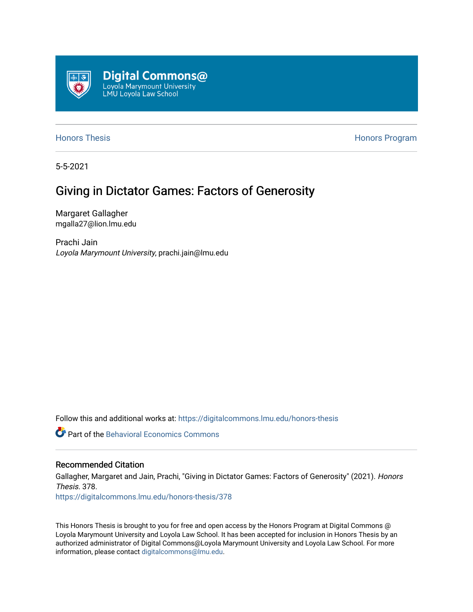

[Honors Thesis](https://digitalcommons.lmu.edu/honors-thesis) **Honors Honors** Program

5-5-2021

## Giving in Dictator Games: Factors of Generosity

Margaret Gallagher mgalla27@lion.lmu.edu

Prachi Jain Loyola Marymount University, prachi.jain@lmu.edu

Follow this and additional works at: [https://digitalcommons.lmu.edu/honors-thesis](https://digitalcommons.lmu.edu/honors-thesis?utm_source=digitalcommons.lmu.edu%2Fhonors-thesis%2F378&utm_medium=PDF&utm_campaign=PDFCoverPages)

**C** Part of the Behavioral Economics Commons

#### Recommended Citation

Gallagher, Margaret and Jain, Prachi, "Giving in Dictator Games: Factors of Generosity" (2021). Honors Thesis. 378. [https://digitalcommons.lmu.edu/honors-thesis/378](https://digitalcommons.lmu.edu/honors-thesis/378?utm_source=digitalcommons.lmu.edu%2Fhonors-thesis%2F378&utm_medium=PDF&utm_campaign=PDFCoverPages) 

This Honors Thesis is brought to you for free and open access by the Honors Program at Digital Commons @ Loyola Marymount University and Loyola Law School. It has been accepted for inclusion in Honors Thesis by an authorized administrator of Digital Commons@Loyola Marymount University and Loyola Law School. For more information, please contact [digitalcommons@lmu.edu.](mailto:digitalcommons@lmu.edu)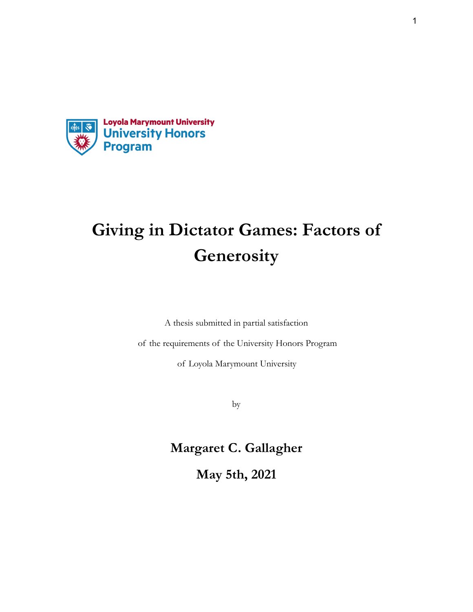

# **Giving in Dictator Games: Factors of Generosity**

A thesis submitted in partial satisfaction

of the requirements of the University Honors Program

of Loyola Marymount University

by

# **Margaret C. Gallagher**

**May 5th, 2021**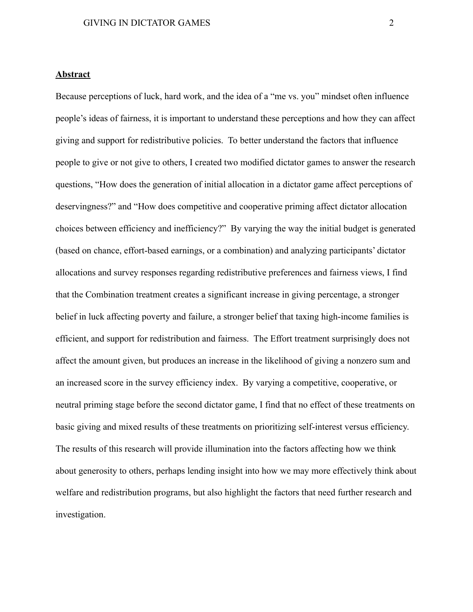#### **Abstract**

Because perceptions of luck, hard work, and the idea of a "me vs. you" mindset often influence people's ideas of fairness, it is important to understand these perceptions and how they can affect giving and support for redistributive policies. To better understand the factors that influence people to give or not give to others, I created two modified dictator games to answer the research questions, "How does the generation of initial allocation in a dictator game affect perceptions of deservingness?" and "How does competitive and cooperative priming affect dictator allocation choices between efficiency and inefficiency?" By varying the way the initial budget is generated (based on chance, effort-based earnings, or a combination) and analyzing participants' dictator allocations and survey responses regarding redistributive preferences and fairness views, I find that the Combination treatment creates a significant increase in giving percentage, a stronger belief in luck affecting poverty and failure, a stronger belief that taxing high-income families is efficient, and support for redistribution and fairness. The Effort treatment surprisingly does not affect the amount given, but produces an increase in the likelihood of giving a nonzero sum and an increased score in the survey efficiency index. By varying a competitive, cooperative, or neutral priming stage before the second dictator game, I find that no effect of these treatments on basic giving and mixed results of these treatments on prioritizing self-interest versus efficiency. The results of this research will provide illumination into the factors affecting how we think about generosity to others, perhaps lending insight into how we may more effectively think about welfare and redistribution programs, but also highlight the factors that need further research and investigation.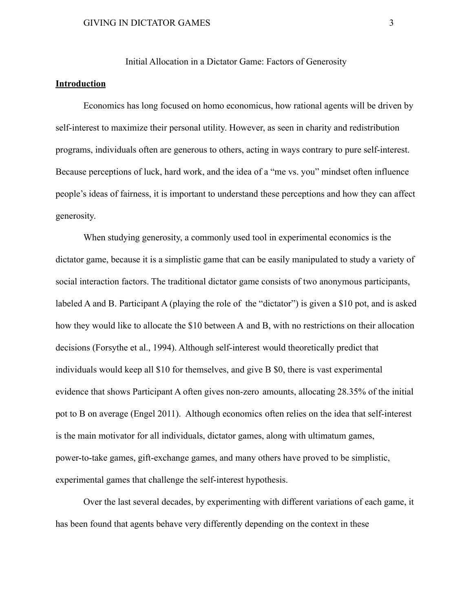Initial Allocation in a Dictator Game: Factors of Generosity

#### **Introduction**

Economics has long focused on homo economicus, how rational agents will be driven by self-interest to maximize their personal utility. However, as seen in charity and redistribution programs, individuals often are generous to others, acting in ways contrary to pure self-interest. Because perceptions of luck, hard work, and the idea of a "me vs. you" mindset often influence people's ideas of fairness, it is important to understand these perceptions and how they can affect generosity.

When studying generosity, a commonly used tool in experimental economics is the dictator game, because it is a simplistic game that can be easily manipulated to study a variety of social interaction factors. The traditional dictator game consists of two anonymous participants, labeled A and B. Participant A (playing the role of the "dictator") is given a \$10 pot, and is asked how they would like to allocate the \$10 between A and B, with no restrictions on their allocation decisions (Forsythe et al., 1994). Although self-interest would theoretically predict that individuals would keep all \$10 for themselves, and give B \$0, there is vast experimental evidence that shows Participant A often gives non-zero amounts, allocating 28.35% of the initial pot to B on average (Engel 2011). Although economics often relies on the idea that self-interest is the main motivator for all individuals, dictator games, along with ultimatum games, power-to-take games, gift-exchange games, and many others have proved to be simplistic, experimental games that challenge the self-interest hypothesis.

Over the last several decades, by experimenting with different variations of each game, it has been found that agents behave very differently depending on the context in these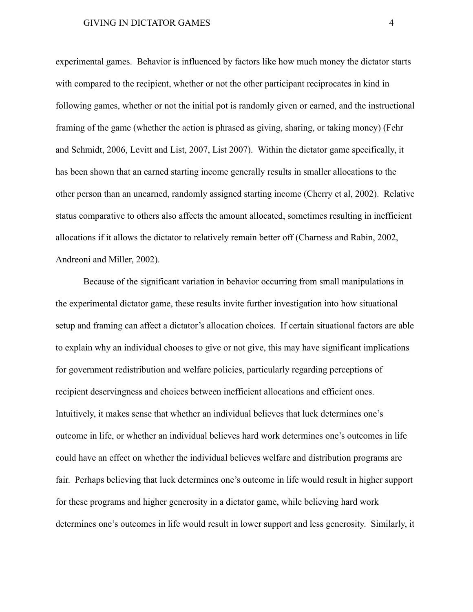experimental games. Behavior is influenced by factors like how much money the dictator starts with compared to the recipient, whether or not the other participant reciprocates in kind in following games, whether or not the initial pot is randomly given or earned, and the instructional framing of the game (whether the action is phrased as giving, sharing, or taking money) (Fehr and Schmidt, 2006, Levitt and List, 2007, List 2007). Within the dictator game specifically, it has been shown that an earned starting income generally results in smaller allocations to the other person than an unearned, randomly assigned starting income (Cherry et al, 2002). Relative status comparative to others also affects the amount allocated, sometimes resulting in inefficient allocations if it allows the dictator to relatively remain better off (Charness and Rabin, 2002, Andreoni and Miller, 2002).

Because of the significant variation in behavior occurring from small manipulations in the experimental dictator game, these results invite further investigation into how situational setup and framing can affect a dictator's allocation choices. If certain situational factors are able to explain why an individual chooses to give or not give, this may have significant implications for government redistribution and welfare policies, particularly regarding perceptions of recipient deservingness and choices between inefficient allocations and efficient ones. Intuitively, it makes sense that whether an individual believes that luck determines one's outcome in life, or whether an individual believes hard work determines one's outcomes in life could have an effect on whether the individual believes welfare and distribution programs are fair. Perhaps believing that luck determines one's outcome in life would result in higher support for these programs and higher generosity in a dictator game, while believing hard work determines one's outcomes in life would result in lower support and less generosity. Similarly, it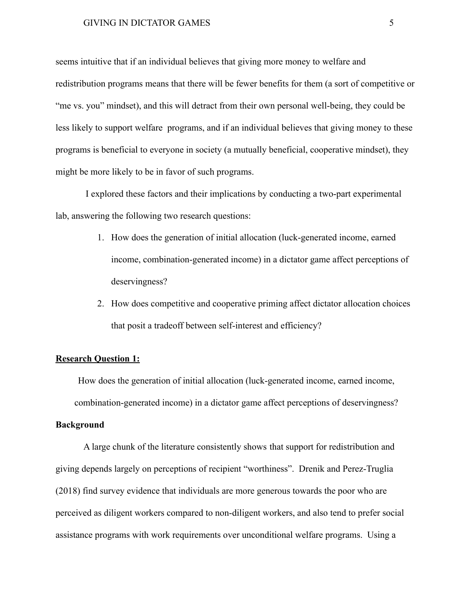seems intuitive that if an individual believes that giving more money to welfare and redistribution programs means that there will be fewer benefits for them (a sort of competitive or "me vs. you" mindset), and this will detract from their own personal well-being, they could be less likely to support welfare programs, and if an individual believes that giving money to these programs is beneficial to everyone in society (a mutually beneficial, cooperative mindset), they might be more likely to be in favor of such programs.

I explored these factors and their implications by conducting a two-part experimental lab, answering the following two research questions:

- 1. How does the generation of initial allocation (luck-generated income, earned income, combination-generated income) in a dictator game affect perceptions of deservingness?
- 2. How does competitive and cooperative priming affect dictator allocation choices that posit a tradeoff between self-interest and efficiency?

#### **Research Question 1:**

How does the generation of initial allocation (luck-generated income, earned income, combination-generated income) in a dictator game affect perceptions of deservingness?

#### **Background**

A large chunk of the literature consistently shows that support for redistribution and giving depends largely on perceptions of recipient "worthiness". Drenik and Perez-Truglia (2018) find survey evidence that individuals are more generous towards the poor who are perceived as diligent workers compared to non-diligent workers, and also tend to prefer social assistance programs with work requirements over unconditional welfare programs. Using a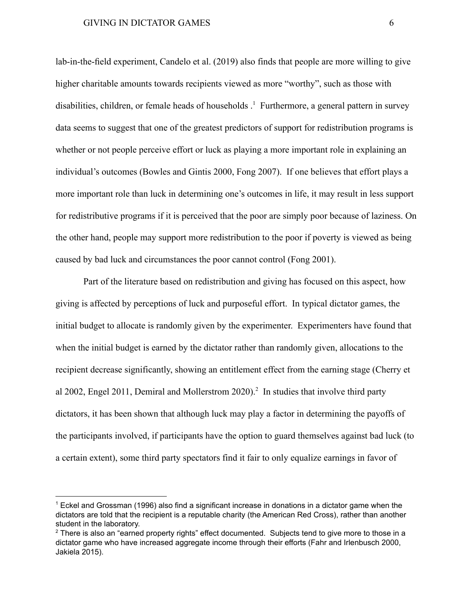lab-in-the-field experiment, Candelo et al. (2019) also finds that people are more willing to give higher charitable amounts towards recipients viewed as more "worthy", such as those with disabilities, children, or female heads of households  $\frac{1}{1}$ . Furthermore, a general pattern in survey data seems to suggest that one of the greatest predictors of support for redistribution programs is whether or not people perceive effort or luck as playing a more important role in explaining an individual's outcomes (Bowles and Gintis 2000, Fong 2007). If one believes that effort plays a more important role than luck in determining one's outcomes in life, it may result in less support for redistributive programs if it is perceived that the poor are simply poor because of laziness. On the other hand, people may support more redistribution to the poor if poverty is viewed as being caused by bad luck and circumstances the poor cannot control (Fong 2001).

Part of the literature based on redistribution and giving has focused on this aspect, how giving is affected by perceptions of luck and purposeful effort. In typical dictator games, the initial budget to allocate is randomly given by the experimenter. Experimenters have found that when the initial budget is earned by the dictator rather than randomly given, allocations to the recipient decrease significantly, showing an entitlement effect from the earning stage (Cherry et al 2002, Engel 2011, Demiral and Mollerstrom  $2020$ ).<sup>2</sup> In studies that involve third party dictators, it has been shown that although luck may play a factor in determining the payoffs of the participants involved, if participants have the option to guard themselves against bad luck (to a certain extent), some third party spectators find it fair to only equalize earnings in favor of

 $1$  Eckel and Grossman (1996) also find a significant increase in donations in a dictator game when the dictators are told that the recipient is a reputable charity (the American Red Cross), rather than another student in the laboratory.

 $2$  There is also an "earned property rights" effect documented. Subjects tend to give more to those in a dictator game who have increased aggregate income through their efforts (Fahr and Irlenbusch 2000, Jakiela 2015).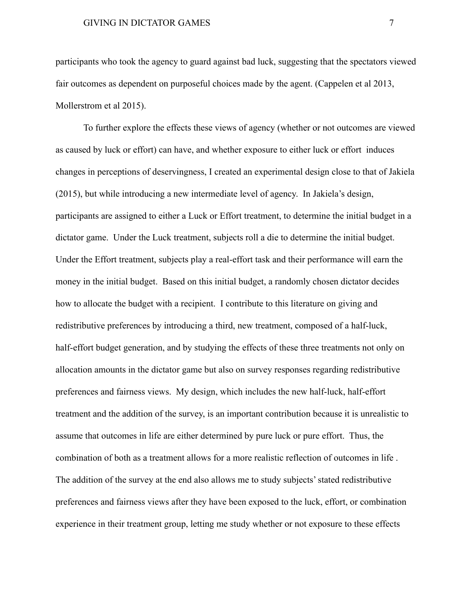participants who took the agency to guard against bad luck, suggesting that the spectators viewed fair outcomes as dependent on purposeful choices made by the agent. (Cappelen et al 2013, Mollerstrom et al 2015).

To further explore the effects these views of agency (whether or not outcomes are viewed as caused by luck or effort) can have, and whether exposure to either luck or effort induces changes in perceptions of deservingness, I created an experimental design close to that of Jakiela (2015), but while introducing a new intermediate level of agency. In Jakiela's design, participants are assigned to either a Luck or Effort treatment, to determine the initial budget in a dictator game. Under the Luck treatment, subjects roll a die to determine the initial budget. Under the Effort treatment, subjects play a real-effort task and their performance will earn the money in the initial budget. Based on this initial budget, a randomly chosen dictator decides how to allocate the budget with a recipient. I contribute to this literature on giving and redistributive preferences by introducing a third, new treatment, composed of a half-luck, half-effort budget generation, and by studying the effects of these three treatments not only on allocation amounts in the dictator game but also on survey responses regarding redistributive preferences and fairness views. My design, which includes the new half-luck, half-effort treatment and the addition of the survey, is an important contribution because it is unrealistic to assume that outcomes in life are either determined by pure luck or pure effort. Thus, the combination of both as a treatment allows for a more realistic reflection of outcomes in life . The addition of the survey at the end also allows me to study subjects' stated redistributive preferences and fairness views after they have been exposed to the luck, effort, or combination experience in their treatment group, letting me study whether or not exposure to these effects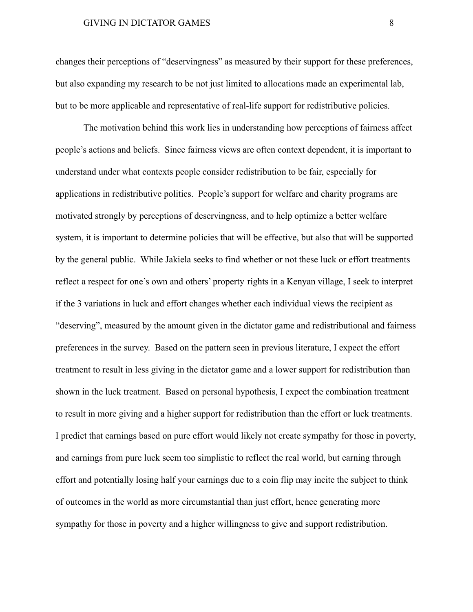changes their perceptions of "deservingness" as measured by their support for these preferences, but also expanding my research to be not just limited to allocations made an experimental lab, but to be more applicable and representative of real-life support for redistributive policies.

The motivation behind this work lies in understanding how perceptions of fairness affect people's actions and beliefs. Since fairness views are often context dependent, it is important to understand under what contexts people consider redistribution to be fair, especially for applications in redistributive politics. People's support for welfare and charity programs are motivated strongly by perceptions of deservingness, and to help optimize a better welfare system, it is important to determine policies that will be effective, but also that will be supported by the general public. While Jakiela seeks to find whether or not these luck or effort treatments reflect a respect for one's own and others' property rights in a Kenyan village, I seek to interpret if the 3 variations in luck and effort changes whether each individual views the recipient as "deserving", measured by the amount given in the dictator game and redistributional and fairness preferences in the survey. Based on the pattern seen in previous literature, I expect the effort treatment to result in less giving in the dictator game and a lower support for redistribution than shown in the luck treatment. Based on personal hypothesis, I expect the combination treatment to result in more giving and a higher support for redistribution than the effort or luck treatments. I predict that earnings based on pure effort would likely not create sympathy for those in poverty, and earnings from pure luck seem too simplistic to reflect the real world, but earning through effort and potentially losing half your earnings due to a coin flip may incite the subject to think of outcomes in the world as more circumstantial than just effort, hence generating more sympathy for those in poverty and a higher willingness to give and support redistribution.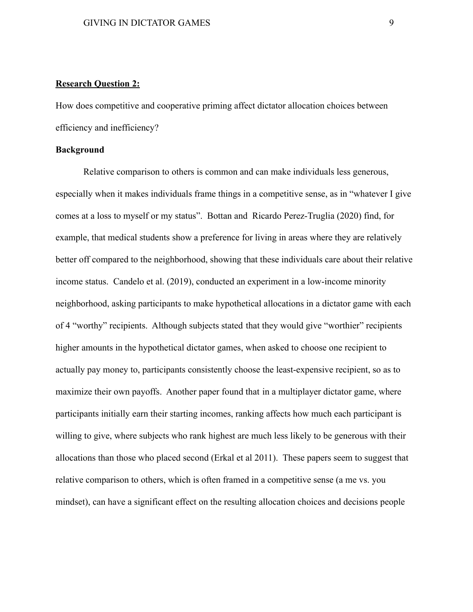#### **Research Question 2:**

How does competitive and cooperative priming affect dictator allocation choices between efficiency and inefficiency?

#### **Background**

Relative comparison to others is common and can make individuals less generous, especially when it makes individuals frame things in a competitive sense, as in "whatever I give comes at a loss to myself or my status". Bottan and Ricardo Perez-Truglia (2020) find, for example, that medical students show a preference for living in areas where they are relatively better off compared to the neighborhood, showing that these individuals care about their relative income status. Candelo et al. (2019), conducted an experiment in a low-income minority neighborhood, asking participants to make hypothetical allocations in a dictator game with each of 4 "worthy" recipients. Although subjects stated that they would give "worthier" recipients higher amounts in the hypothetical dictator games, when asked to choose one recipient to actually pay money to, participants consistently choose the least-expensive recipient, so as to maximize their own payoffs. Another paper found that in a multiplayer dictator game, where participants initially earn their starting incomes, ranking affects how much each participant is willing to give, where subjects who rank highest are much less likely to be generous with their allocations than those who placed second (Erkal et al 2011). These papers seem to suggest that relative comparison to others, which is often framed in a competitive sense (a me vs. you mindset), can have a significant effect on the resulting allocation choices and decisions people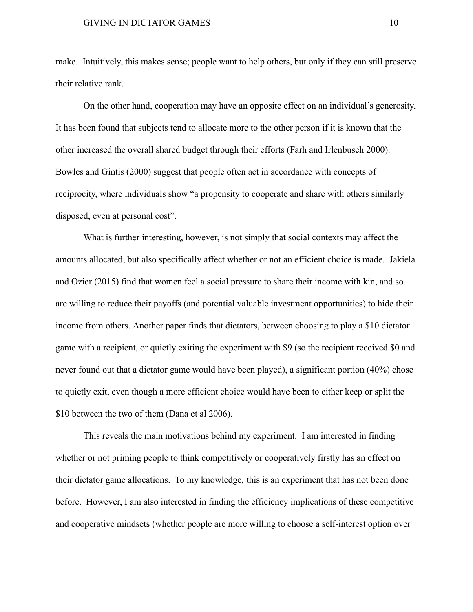make. Intuitively, this makes sense; people want to help others, but only if they can still preserve their relative rank.

On the other hand, cooperation may have an opposite effect on an individual's generosity. It has been found that subjects tend to allocate more to the other person if it is known that the other increased the overall shared budget through their efforts (Farh and Irlenbusch 2000). Bowles and Gintis (2000) suggest that people often act in accordance with concepts of reciprocity, where individuals show "a propensity to cooperate and share with others similarly disposed, even at personal cost".

What is further interesting, however, is not simply that social contexts may affect the amounts allocated, but also specifically affect whether or not an efficient choice is made. Jakiela and Ozier (2015) find that women feel a social pressure to share their income with kin, and so are willing to reduce their payoffs (and potential valuable investment opportunities) to hide their income from others. Another paper finds that dictators, between choosing to play a \$10 dictator game with a recipient, or quietly exiting the experiment with \$9 (so the recipient received \$0 and never found out that a dictator game would have been played), a significant portion (40%) chose to quietly exit, even though a more efficient choice would have been to either keep or split the \$10 between the two of them (Dana et al 2006).

This reveals the main motivations behind my experiment. I am interested in finding whether or not priming people to think competitively or cooperatively firstly has an effect on their dictator game allocations. To my knowledge, this is an experiment that has not been done before. However, I am also interested in finding the efficiency implications of these competitive and cooperative mindsets (whether people are more willing to choose a self-interest option over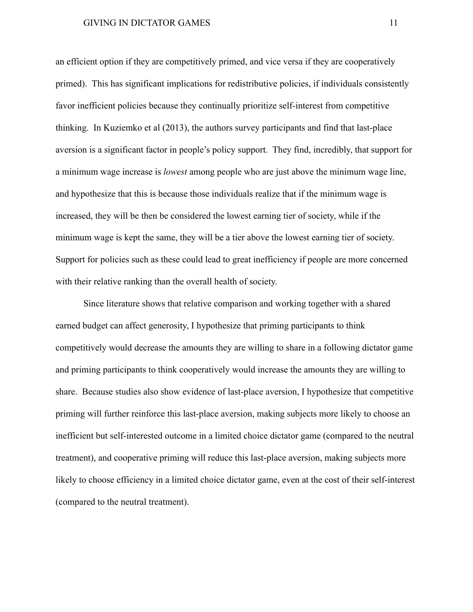an efficient option if they are competitively primed, and vice versa if they are cooperatively primed). This has significant implications for redistributive policies, if individuals consistently favor inefficient policies because they continually prioritize self-interest from competitive thinking. In Kuziemko et al (2013), the authors survey participants and find that last-place aversion is a significant factor in people's policy support. They find, incredibly, that support for a minimum wage increase is *lowest* among people who are just above the minimum wage line, and hypothesize that this is because those individuals realize that if the minimum wage is increased, they will be then be considered the lowest earning tier of society, while if the minimum wage is kept the same, they will be a tier above the lowest earning tier of society. Support for policies such as these could lead to great inefficiency if people are more concerned with their relative ranking than the overall health of society.

Since literature shows that relative comparison and working together with a shared earned budget can affect generosity, I hypothesize that priming participants to think competitively would decrease the amounts they are willing to share in a following dictator game and priming participants to think cooperatively would increase the amounts they are willing to share. Because studies also show evidence of last-place aversion, I hypothesize that competitive priming will further reinforce this last-place aversion, making subjects more likely to choose an inefficient but self-interested outcome in a limited choice dictator game (compared to the neutral treatment), and cooperative priming will reduce this last-place aversion, making subjects more likely to choose efficiency in a limited choice dictator game, even at the cost of their self-interest (compared to the neutral treatment).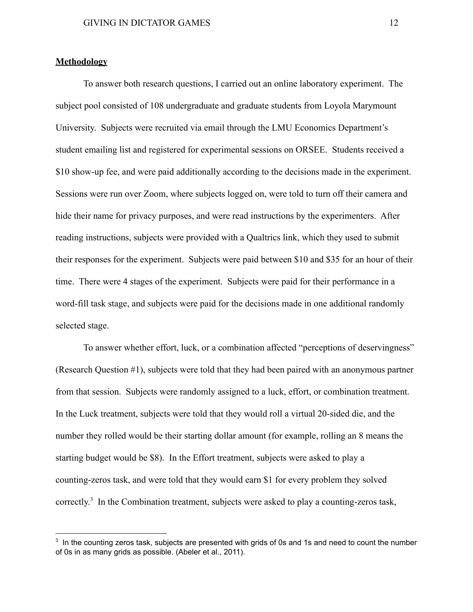#### **Methodology**

To answer both research questions, I carried out an online laboratory experiment. The subject pool consisted of 108 undergraduate and graduate students from Loyola Marymount University. Subjects were recruited via email through the LMU Economics Department's student emailing list and registered for experimental sessions on ORSEE. Students received a \$10 show-up fee, and were paid additionally according to the decisions made in the experiment. Sessions were run over Zoom, where subjects logged on, were told to turn off their camera and hide their name for privacy purposes, and were read instructions by the experimenters. After reading instructions, subjects were provided with a Qualtrics link, which they used to submit their responses for the experiment. Subjects were paid between \$10 and \$35 for an hour of their time. There were 4 stages of the experiment. Subjects were paid for their performance in a word-fill task stage, and subjects were paid for the decisions made in one additional randomly selected stage.

To answer whether effort, luck, or a combination affected "perceptions of deservingness" (Research Question #1), subjects were told that they had been paired with an anonymous partner from that session. Subjects were randomly assigned to a luck, effort, or combination treatment. In the Luck treatment, subjects were told that they would roll a virtual 20-sided die, and the number they rolled would be their starting dollar amount (for example, rolling an 8 means the starting budget would be \$8). In the Effort treatment, subjects were asked to play a counting-zeros task, and were told that they would earn \$1 for every problem they solved correctly.<sup>3</sup> In the Combination treatment, subjects were asked to play a counting-zeros task,

 $3\,$  In the counting zeros task, subjects are presented with grids of 0s and 1s and need to count the number of 0s in as many grids as possible. (Abeler et al., 2011).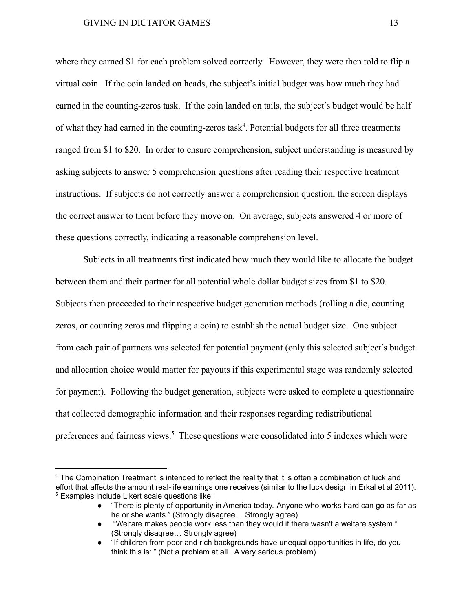where they earned \$1 for each problem solved correctly. However, they were then told to flip a virtual coin. If the coin landed on heads, the subject's initial budget was how much they had earned in the counting-zeros task. If the coin landed on tails, the subject's budget would be half of what they had earned in the counting-zeros task<sup>4</sup>. Potential budgets for all three treatments ranged from \$1 to \$20. In order to ensure comprehension, subject understanding is measured by asking subjects to answer 5 comprehension questions after reading their respective treatment instructions. If subjects do not correctly answer a comprehension question, the screen displays the correct answer to them before they move on. On average, subjects answered 4 or more of these questions correctly, indicating a reasonable comprehension level.

Subjects in all treatments first indicated how much they would like to allocate the budget between them and their partner for all potential whole dollar budget sizes from \$1 to \$20. Subjects then proceeded to their respective budget generation methods (rolling a die, counting zeros, or counting zeros and flipping a coin) to establish the actual budget size. One subject from each pair of partners was selected for potential payment (only this selected subject's budget and allocation choice would matter for payouts if this experimental stage was randomly selected for payment). Following the budget generation, subjects were asked to complete a questionnaire that collected demographic information and their responses regarding redistributional preferences and fairness views.<sup>5</sup> These questions were consolidated into 5 indexes which were

<sup>5</sup> Examples include Likert scale questions like: <sup>4</sup> The Combination Treatment is intended to reflect the reality that it is often a combination of luck and effort that affects the amount real-life earnings one receives (similar to the luck design in Erkal et al 2011).

<sup>● &</sup>quot;There is plenty of opportunity in America today. Anyone who works hard can go as far as he or she wants." (Strongly disagree… Strongly agree)

<sup>●</sup> **Welfare makes people work less than they would if there wasn't a welfare system.**" (Strongly disagree… Strongly agree)

<sup>●</sup> "If children from poor and rich backgrounds have unequal opportunities in life, do you think this is: " (Not a problem at all...A very serious problem)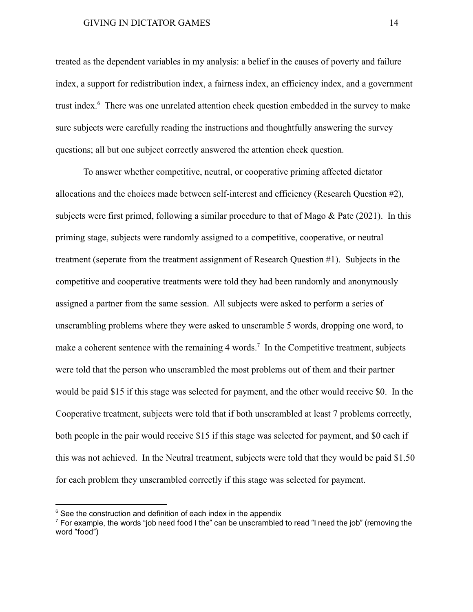treated as the dependent variables in my analysis: a belief in the causes of poverty and failure index, a support for redistribution index, a fairness index, an efficiency index, and a government trust index.<sup>6</sup> There was one unrelated attention check question embedded in the survey to make sure subjects were carefully reading the instructions and thoughtfully answering the survey questions; all but one subject correctly answered the attention check question.

To answer whether competitive, neutral, or cooperative priming affected dictator allocations and the choices made between self-interest and efficiency (Research Question #2), subjects were first primed, following a similar procedure to that of Mago & Pate (2021). In this priming stage, subjects were randomly assigned to a competitive, cooperative, or neutral treatment (seperate from the treatment assignment of Research Question #1). Subjects in the competitive and cooperative treatments were told they had been randomly and anonymously assigned a partner from the same session. All subjects were asked to perform a series of unscrambling problems where they were asked to unscramble 5 words, dropping one word, to make a coherent sentence with the remaining 4 words.<sup>7</sup> In the Competitive treatment, subjects were told that the person who unscrambled the most problems out of them and their partner would be paid \$15 if this stage was selected for payment, and the other would receive \$0. In the Cooperative treatment, subjects were told that if both unscrambled at least 7 problems correctly, both people in the pair would receive \$15 if this stage was selected for payment, and \$0 each if this was not achieved. In the Neutral treatment, subjects were told that they would be paid \$1.50 for each problem they unscrambled correctly if this stage was selected for payment.

 $6$  See the construction and definition of each index in the appendix

 $7$  For example, the words "job need food I the" can be unscrambled to read "I need the job" (removing the word "food")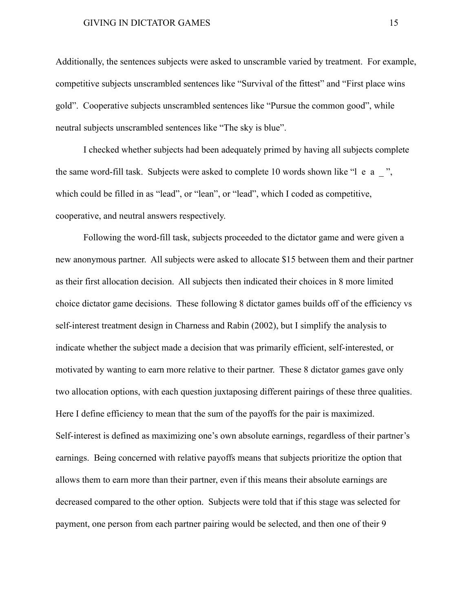Additionally, the sentences subjects were asked to unscramble varied by treatment. For example, competitive subjects unscrambled sentences like "Survival of the fittest" and "First place wins gold". Cooperative subjects unscrambled sentences like "Pursue the common good", while neutral subjects unscrambled sentences like "The sky is blue".

I checked whether subjects had been adequately primed by having all subjects complete the same word-fill task. Subjects were asked to complete 10 words shown like "l e a \_ ", which could be filled in as "lead", or "lean", or "lead", which I coded as competitive, cooperative, and neutral answers respectively.

Following the word-fill task, subjects proceeded to the dictator game and were given a new anonymous partner. All subjects were asked to allocate \$15 between them and their partner as their first allocation decision. All subjects then indicated their choices in 8 more limited choice dictator game decisions. These following 8 dictator games builds off of the efficiency vs self-interest treatment design in Charness and Rabin (2002), but I simplify the analysis to indicate whether the subject made a decision that was primarily efficient, self-interested, or motivated by wanting to earn more relative to their partner. These 8 dictator games gave only two allocation options, with each question juxtaposing different pairings of these three qualities. Here I define efficiency to mean that the sum of the payoffs for the pair is maximized. Self-interest is defined as maximizing one's own absolute earnings, regardless of their partner's earnings. Being concerned with relative payoffs means that subjects prioritize the option that allows them to earn more than their partner, even if this means their absolute earnings are decreased compared to the other option. Subjects were told that if this stage was selected for payment, one person from each partner pairing would be selected, and then one of their 9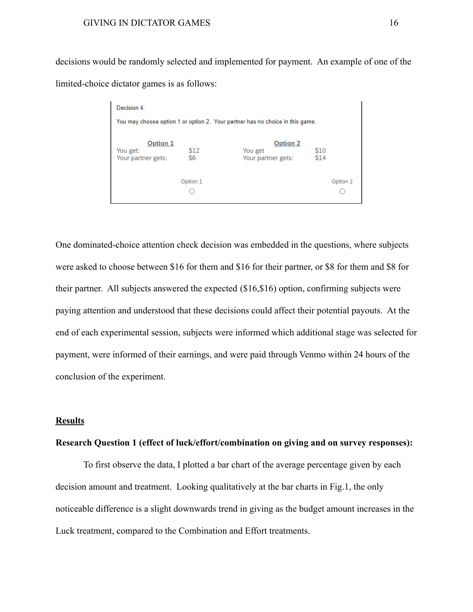decisions would be randomly selected and implemented for payment. An example of one of the limited-choice dictator games is as follows:

| Decision 4:          |          |                                                                               |      |          |
|----------------------|----------|-------------------------------------------------------------------------------|------|----------|
|                      |          | You may choose option 1 or option 2. Your partner has no choice in this game. |      |          |
|                      |          |                                                                               |      |          |
| Option 1<br>You get: | \$12     | <b>Option 2</b><br>You get                                                    | \$10 |          |
| Your partner gets:   | \$6      | Your partner gets:                                                            | \$14 |          |
|                      |          |                                                                               |      |          |
|                      | Option 1 |                                                                               |      | Option 2 |
|                      |          |                                                                               |      |          |
|                      |          |                                                                               |      |          |

One dominated-choice attention check decision was embedded in the questions, where subjects were asked to choose between \$16 for them and \$16 for their partner, or \$8 for them and \$8 for their partner. All subjects answered the expected (\$16,\$16) option, confirming subjects were paying attention and understood that these decisions could affect their potential payouts. At the end of each experimental session, subjects were informed which additional stage was selected for payment, were informed of their earnings, and were paid through Venmo within 24 hours of the conclusion of the experiment.

#### **Results**

#### **Research Question 1 (effect of luck/effort/combination on giving and on survey responses):**

To first observe the data, I plotted a bar chart of the average percentage given by each decision amount and treatment. Looking qualitatively at the bar charts in Fig.1, the only noticeable difference is a slight downwards trend in giving as the budget amount increases in the Luck treatment, compared to the Combination and Effort treatments.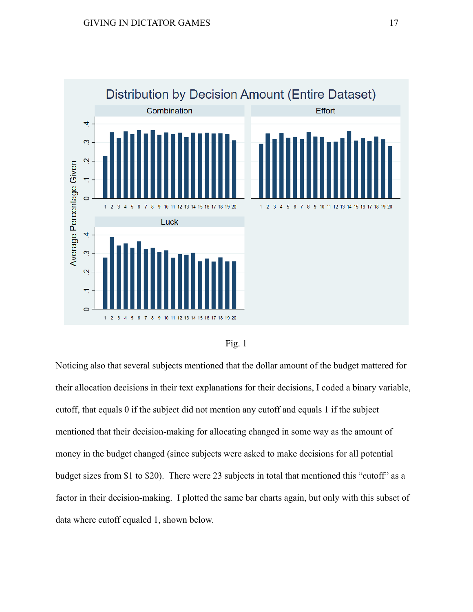



Noticing also that several subjects mentioned that the dollar amount of the budget mattered for their allocation decisions in their text explanations for their decisions, I coded a binary variable, cutoff, that equals 0 if the subject did not mention any cutoff and equals 1 if the subject mentioned that their decision-making for allocating changed in some way as the amount of money in the budget changed (since subjects were asked to make decisions for all potential budget sizes from \$1 to \$20). There were 23 subjects in total that mentioned this "cutoff" as a factor in their decision-making. I plotted the same bar charts again, but only with this subset of data where cutoff equaled 1, shown below.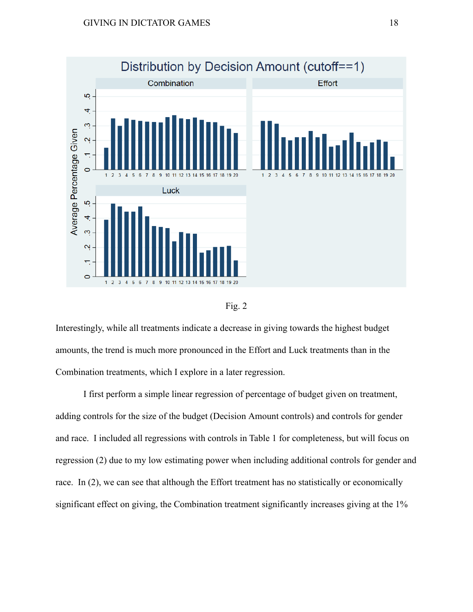



Interestingly, while all treatments indicate a decrease in giving towards the highest budget amounts, the trend is much more pronounced in the Effort and Luck treatments than in the Combination treatments, which I explore in a later regression.

I first perform a simple linear regression of percentage of budget given on treatment, adding controls for the size of the budget (Decision Amount controls) and controls for gender and race. I included all regressions with controls in Table 1 for completeness, but will focus on regression (2) due to my low estimating power when including additional controls for gender and race. In (2), we can see that although the Effort treatment has no statistically or economically significant effect on giving, the Combination treatment significantly increases giving at the 1%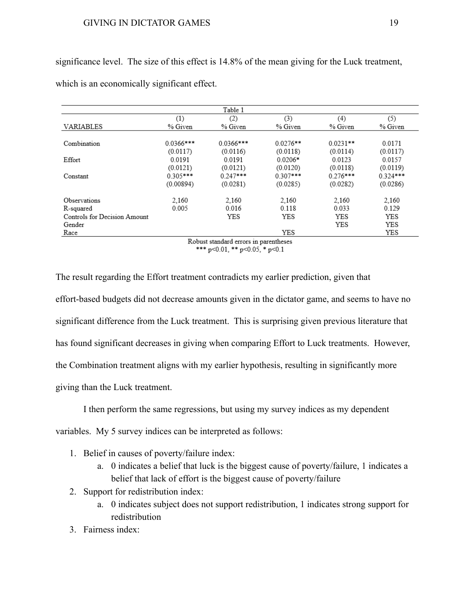|                              |             | Table 1     |            |            |            |
|------------------------------|-------------|-------------|------------|------------|------------|
|                              | (1)         | (2)         | (3)        | (4)        | (5)        |
| VARIABLES                    | % Given     | % Given     | % Given    | % Given    | % Given    |
| Combination                  | $0.0366***$ | $0.0366***$ | $0.0276**$ | $0.0231**$ | 0.0171     |
|                              | (0.0117)    | (0.0116)    | (0.0118)   | (0.0114)   | (0.0117)   |
| Effort                       | 0.0191      | 0.0191      | $0.0206*$  | 0.0123     | 0.0157     |
|                              | (0.0121)    | (0.0121)    | (0.0120)   | (0.0118)   | (0.0119)   |
| Constant                     | $0.305***$  | $0.247***$  | $0.307***$ | $0.276***$ | $0.324***$ |
|                              | (0.00894)   | (0.0281)    | (0.0285)   | (0.0282)   | (0.0286)   |
| Observations                 | 2.160       | 2,160       | 2,160      | 2,160      | 2,160      |
| R-squared                    | 0.005       | 0.016       | 0.118      | 0.033      | 0.129      |
| Controls for Decision Amount |             | YES         | YES        | YES        | YES        |
| Gender                       |             |             |            | <b>YES</b> | YES        |
| Race                         |             |             | <b>YES</b> |            | YES        |

significance level. The size of this effect is 14.8% of the mean giving for the Luck treatment,

which is an economically significant effect.

Robust standard errors in parentheses \*\*\*  $p<0.01$ , \*\*  $p<0.05$ , \*  $p<0.1$ 

The result regarding the Effort treatment contradicts my earlier prediction, given that effort-based budgets did not decrease amounts given in the dictator game, and seems to have no significant difference from the Luck treatment. This is surprising given previous literature that has found significant decreases in giving when comparing Effort to Luck treatments. However, the Combination treatment aligns with my earlier hypothesis, resulting in significantly more giving than the Luck treatment.

I then perform the same regressions, but using my survey indices as my dependent

variables. My 5 survey indices can be interpreted as follows:

- 1. Belief in causes of poverty/failure index:
	- a. 0 indicates a belief that luck is the biggest cause of poverty/failure, 1 indicates a belief that lack of effort is the biggest cause of poverty/failure
- 2. Support for redistribution index:
	- a. 0 indicates subject does not support redistribution, 1 indicates strong support for redistribution
- 3. Fairness index: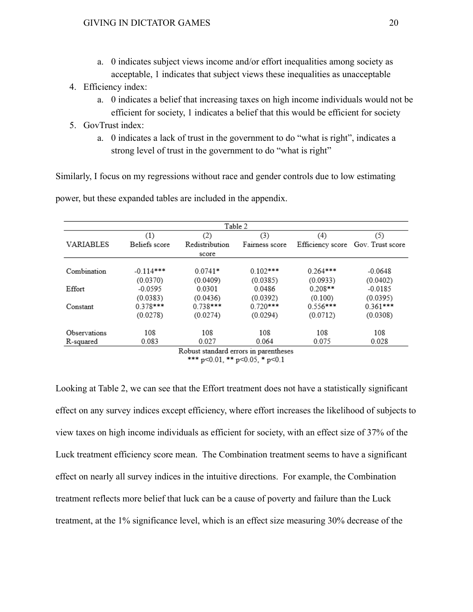- a. 0 indicates subject views income and/or effort inequalities among society as acceptable, 1 indicates that subject views these inequalities as unacceptable
- 4. Efficiency index:
	- a. 0 indicates a belief that increasing taxes on high income individuals would not be efficient for society, 1 indicates a belief that this would be efficient for society
- 5. GovTrust index:
	- a. 0 indicates a lack of trust in the government to do "what is right", indicates a strong level of trust in the government to do "what is right"

Similarly, I focus on my regressions without race and gender controls due to low estimating

|              |               |                                               | Table 2        |                  |                  |
|--------------|---------------|-----------------------------------------------|----------------|------------------|------------------|
|              | (1)           | (2)                                           | (3)            | (4)              | (5)              |
| VARIABLES    | Beliefs score | Redistribution                                | Fairness score | Efficiency score | Gov. Trust score |
|              |               | score                                         |                |                  |                  |
| Combination  | $-0.114***$   | $0.0741*$                                     | $0.102***$     | $0.264***$       | $-0.0648$        |
|              | (0.0370)      | (0.0409)                                      | (0.0385)       | (0.0933)         | (0.0402)         |
| Effort       | $-0.0595$     | 0.0301                                        | 0.0486         | $0.208**$        | $-0.0185$        |
|              | (0.0383)      | (0.0436)                                      | (0.0392)       | (0.100)          | (0.0395)         |
| Constant     | $0.378***$    | $0.738***$                                    | $0.720***$     | $0.556***$       | $0.361***$       |
|              | (0.0278)      | (0.0274)                                      | (0.0294)       | (0.0712)         | (0.0308)         |
| Observations | 108           | 108                                           | 108            | 108              | 108              |
| R-squared    | 0.083         | 0.027                                         | 0.064          | 0.075            | 0.028            |
|              |               | <b>Polizat</b> standard errors in narontheses |                |                  |                  |

power, but these expanded tables are included in the appendix.

Robust standard errors in parentheses \*\*\*  $p<0.01$ , \*\*  $p<0.05$ , \*  $p<0.1$ 

Looking at Table 2, we can see that the Effort treatment does not have a statistically significant effect on any survey indices except efficiency, where effort increases the likelihood of subjects to view taxes on high income individuals as efficient for society, with an effect size of 37% of the Luck treatment efficiency score mean. The Combination treatment seems to have a significant effect on nearly all survey indices in the intuitive directions. For example, the Combination treatment reflects more belief that luck can be a cause of poverty and failure than the Luck treatment, at the 1% significance level, which is an effect size measuring 30% decrease of the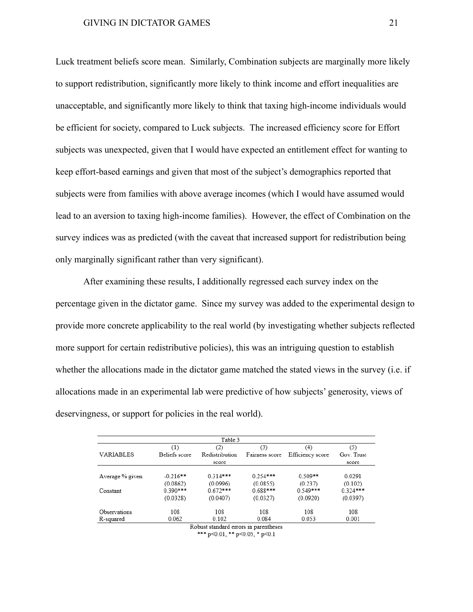Luck treatment beliefs score mean. Similarly, Combination subjects are marginally more likely to support redistribution, significantly more likely to think income and effort inequalities are unacceptable, and significantly more likely to think that taxing high-income individuals would be efficient for society, compared to Luck subjects. The increased efficiency score for Effort subjects was unexpected, given that I would have expected an entitlement effect for wanting to keep effort-based earnings and given that most of the subject's demographics reported that subjects were from families with above average incomes (which I would have assumed would lead to an aversion to taxing high-income families). However, the effect of Combination on the survey indices was as predicted (with the caveat that increased support for redistribution being only marginally significant rather than very significant).

After examining these results, I additionally regressed each survey index on the percentage given in the dictator game. Since my survey was added to the experimental design to provide more concrete applicability to the real world (by investigating whether subjects reflected more support for certain redistributive policies), this was an intriguing question to establish whether the allocations made in the dictator game matched the stated views in the survey (i.e. if allocations made in an experimental lab were predictive of how subjects' generosity, views of deservingness, or support for policies in the real world).

|                 |               | Table 3        |                |                  |            |
|-----------------|---------------|----------------|----------------|------------------|------------|
|                 | (1)           | (2)            | (3)            | (4)              | (5)        |
| VARIABLES       | Beliefs score | Redistribution | Fairness score | Efficiency score | Gov. Trust |
|                 |               | score          |                |                  | score      |
|                 |               |                |                |                  |            |
| Average % given | $-0.216**$    | $0.314***$     | $0.254***$     | $0.509**$        | 0.0291     |
|                 | (0.0862)      | (0.0996)       | (0.0855)       | (0.237)          | (0.102)    |
| Constant        | $0.390***$    | $0.672***$     | 0.688***       | $0.549***$       | $0.324***$ |
|                 | (0.0328)      | (0.0407)       | (0.0327)       | (0.0920)         | (0.0397)   |
| Observations    | 108           | 108            | 108            | 108              | 108        |
| R-squared       | 0.062         | 0.102          | 0.084          | 0.053            | 0.001      |
|                 |               |                |                |                  |            |

Robust standard errors in parentheses \*\*\*  $p<0.01$ , \*\*  $p<0.05$ , \*  $p<0.1$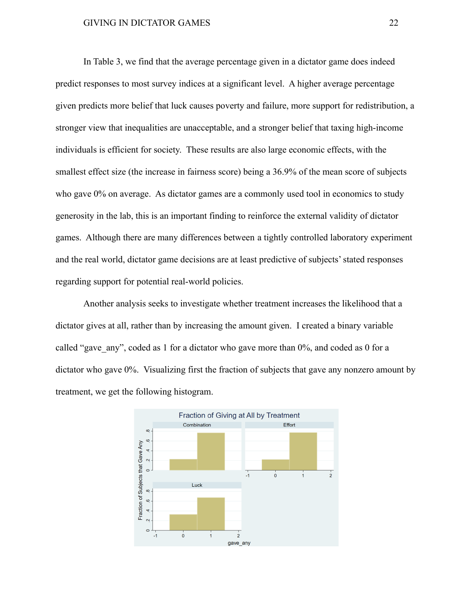In Table 3, we find that the average percentage given in a dictator game does indeed predict responses to most survey indices at a significant level. A higher average percentage given predicts more belief that luck causes poverty and failure, more support for redistribution, a stronger view that inequalities are unacceptable, and a stronger belief that taxing high-income individuals is efficient for society. These results are also large economic effects, with the smallest effect size (the increase in fairness score) being a 36.9% of the mean score of subjects who gave  $0\%$  on average. As dictator games are a commonly used tool in economics to study generosity in the lab, this is an important finding to reinforce the external validity of dictator games. Although there are many differences between a tightly controlled laboratory experiment and the real world, dictator game decisions are at least predictive of subjects' stated responses regarding support for potential real-world policies.

Another analysis seeks to investigate whether treatment increases the likelihood that a dictator gives at all, rather than by increasing the amount given. I created a binary variable called "gave any", coded as 1 for a dictator who gave more than 0%, and coded as 0 for a dictator who gave 0%. Visualizing first the fraction of subjects that gave any nonzero amount by treatment, we get the following histogram.

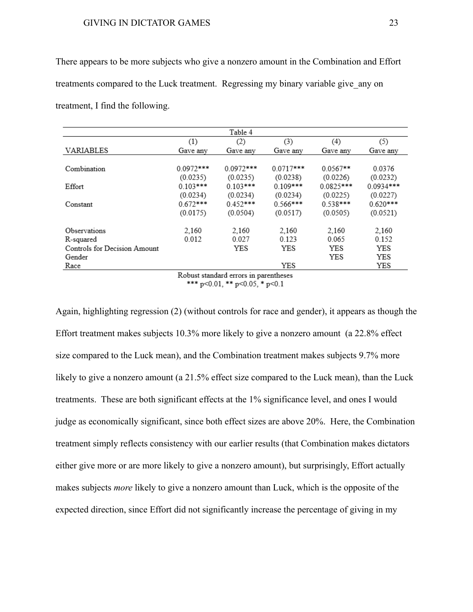There appears to be more subjects who give a nonzero amount in the Combination and Effort treatments compared to the Luck treatment. Regressing my binary variable give\_any on treatment, I find the following.

|                              |             | Table 4     |             |             |             |
|------------------------------|-------------|-------------|-------------|-------------|-------------|
|                              | (1)         | (2)         | (3)         | (4)         | (5)         |
| <b>VARIABLES</b>             | Gave any    | Gave any    | Gave anv    | Gave any    | Gave any    |
|                              |             |             |             |             |             |
| Combination                  | $0.0972***$ | $0.0972***$ | $0.0717***$ | $0.0567**$  | 0.0376      |
|                              | (0.0235)    | (0.0235)    | (0.0238)    | (0.0226)    | (0.0232)    |
| Effort                       | $0.103***$  | $0.103***$  | $0.109***$  | $0.0825***$ | $0.0934***$ |
|                              | (0.0234)    | (0.0234)    | (0.0234)    | (0.0225)    | (0.0227)    |
| Constant                     | $0.672***$  | $0.452***$  | $0.566***$  | $0.538***$  | $0.620***$  |
|                              | (0.0175)    | (0.0504)    | (0.0517)    | (0.0505)    | (0.0521)    |
| Observations                 | 2,160       | 2.160       | 2.160       | 2.160       | 2,160       |
| R-squared                    | 0.012       | 0.027       | 0.123       | 0.065       | 0.152       |
| Controls for Decision Amount |             | YES         | YES         | YES         | YES         |
| Gender                       |             |             |             | YES         | YES         |
| Race                         |             |             | YES         |             | YES         |

Robust standard errors in parentheses \*\*\*  $p<0.01$ , \*\*  $p<0.05$ , \*  $p<0.1$ 

Again, highlighting regression (2) (without controls for race and gender), it appears as though the Effort treatment makes subjects 10.3% more likely to give a nonzero amount (a 22.8% effect size compared to the Luck mean), and the Combination treatment makes subjects 9.7% more likely to give a nonzero amount (a 21.5% effect size compared to the Luck mean), than the Luck treatments. These are both significant effects at the 1% significance level, and ones I would judge as economically significant, since both effect sizes are above 20%. Here, the Combination treatment simply reflects consistency with our earlier results (that Combination makes dictators either give more or are more likely to give a nonzero amount), but surprisingly, Effort actually makes subjects *more* likely to give a nonzero amount than Luck, which is the opposite of the expected direction, since Effort did not significantly increase the percentage of giving in my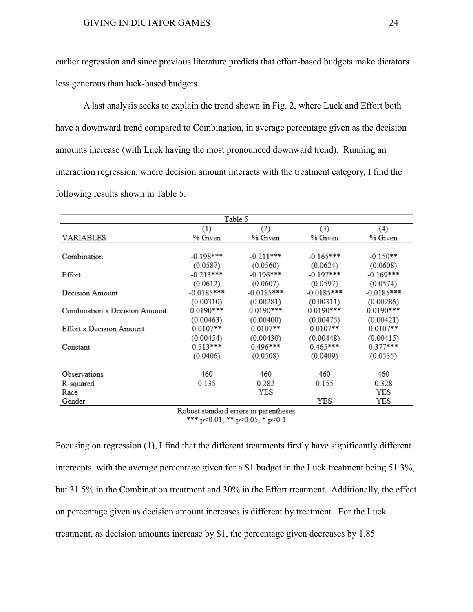earlier regression and since previous literature predicts that effort-based budgets make dictators less generous than luck-based budgets.

A last analysis seeks to explain the trend shown in Fig. 2, where Luck and Effort both have a downward trend compared to Combination, in average percentage given as the decision amounts increase (with Luck having the most pronounced downward trend). Running an interaction regression, where decision amount interacts with the treatment category, I find the following results shown in Table 5.

|                               |              | Table 5      |              |              |
|-------------------------------|--------------|--------------|--------------|--------------|
|                               | (1)          | (2)          | (3)          | (4)          |
| VARIABLES                     | % Given      | % Given      | % Given      | % Given      |
|                               |              |              |              |              |
| Combination                   | $-0.198***$  | $-0.211***$  | $-0.165***$  | $-0.150**$   |
|                               | (0.0587)     | (0.0560)     | (0.0624)     | (0.0608)     |
| Effort                        | $-0.213***$  | $-0.196***$  | $-0.197***$  | -0.169***    |
|                               | (0.0612)     | (0.0607)     | (0.0597)     | (0.0574)     |
| Decision Amount               | $-0.0185***$ | $-0.0185***$ | $-0.0185***$ | $-0.0185***$ |
|                               | (0.00310)    | (0.00281)    | (0.00311)    | (0.00286)    |
| Combination x Decision Amount | 0.0190***    | $0.0190***$  | $0.0190***$  | $0.0190***$  |
|                               | (0.00463)    | (0.00400)    | (0.00475)    | (0.00421)    |
| Effort x Decision Amount      | $0.0107**$   | $0.0107**$   | $0.0107**$   | $0.0107**$   |
|                               | (0.00454)    | (0.00430)    | (0.00448)    | (0.00415)    |
| Constant                      | $0.513***$   | $0.496***$   | $0.465***$   | $0.377***$   |
|                               | (0.0406)     | (0.0508)     | (0.0409)     | (0.0535)     |
| Observations                  | 460          | 460          | 460          | 460          |
|                               |              |              |              |              |
| R-squared                     | 0.135        | 0.282        | 0.155        | 0.328        |
| Race                          |              | YES          |              | YES          |
| Gender                        | - -          |              | YES          | YES          |

Robust standard errors in parentheses \*\*\* p<0.01, \*\* p<0.05, \* p<0.1

Focusing on regression (1), I find that the different treatments firstly have significantly different intercepts, with the average percentage given for a \$1 budget in the Luck treatment being 51.3%, but 31.5% in the Combination treatment and 30% in the Effort treatment. Additionally, the effect on percentage given as decision amount increases is different by treatment. For the Luck treatment, as decision amounts increase by \$1, the percentage given decreases by 1.85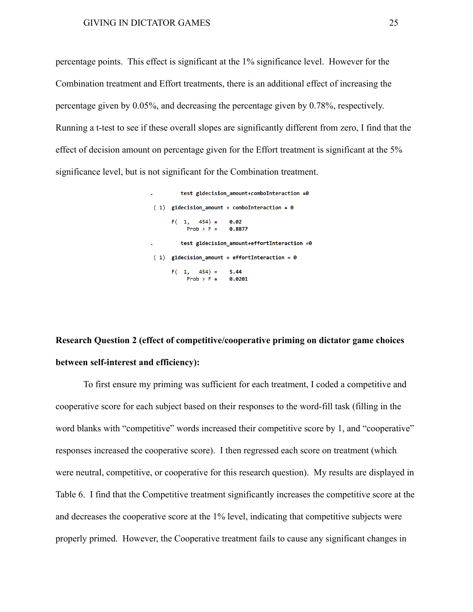percentage points. This effect is significant at the 1% significance level. However for the Combination treatment and Effort treatments, there is an additional effect of increasing the percentage given by 0.05%, and decreasing the percentage given by 0.78%, respectively. Running a t-test to see if these overall slopes are significantly different from zero, I find that the effect of decision amount on percentage given for the Effort treatment is significant at the 5% significance level, but is not significant for the Combination treatment.

> test g1decision\_amount+comboInteraction =0  $(1)$  g1decision\_amount + comboInteraction = 0  $F(1, 454) =$  $0.02$  $Prob > F =$ 0.8877 test g1decision\_amount+effortInteraction =0  $(1)$  g1decision amount + effortInteraction = 0  $F(1, 454) =$ 5.44 Prob > F =  $0.0201$

# **Research Question 2 (effect of competitive/cooperative priming on dictator game choices between self-interest and efficiency):**

To first ensure my priming was sufficient for each treatment, I coded a competitive and cooperative score for each subject based on their responses to the word-fill task (filling in the word blanks with "competitive" words increased their competitive score by 1, and "cooperative" responses increased the cooperative score). I then regressed each score on treatment (which were neutral, competitive, or cooperative for this research question). My results are displayed in Table 6. I find that the Competitive treatment significantly increases the competitive score at the and decreases the cooperative score at the 1% level, indicating that competitive subjects were properly primed. However, the Cooperative treatment fails to cause any significant changes in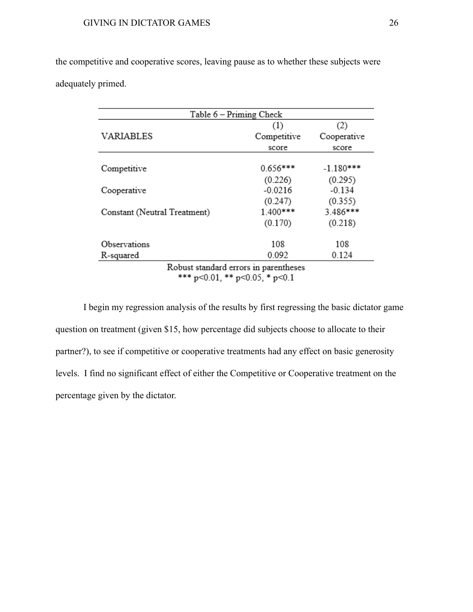the competitive and cooperative scores, leaving pause as to whether these subjects were adequately primed.

|                              | Table 6 - Priming Check               |             |
|------------------------------|---------------------------------------|-------------|
|                              | (1)                                   | (2)         |
| <b>VARIABLES</b>             | Competitive                           | Cooperative |
|                              | score                                 | score       |
|                              |                                       |             |
| Competitive                  | $0.656***$                            | $-1.180***$ |
|                              | (0.226)                               | (0.295)     |
| Cooperative                  | $-0.0216$                             | $-0.134$    |
|                              | (0.247)                               | (0.355)     |
| Constant (Neutral Treatment) | 1.400***                              | 3.486***    |
|                              | (0.170)                               | (0.218)     |
| Observations                 | 108                                   | 108         |
| R-squared                    | 0.092                                 | 0.124       |
|                              | Robust standard errors in parentheses |             |

\*\*\*  $p<0.01$ , \*\*  $p<0.05$ , \*  $p<0.1$ 

I begin my regression analysis of the results by first regressing the basic dictator game question on treatment (given \$15, how percentage did subjects choose to allocate to their partner?), to see if competitive or cooperative treatments had any effect on basic generosity levels. I find no significant effect of either the Competitive or Cooperative treatment on the percentage given by the dictator.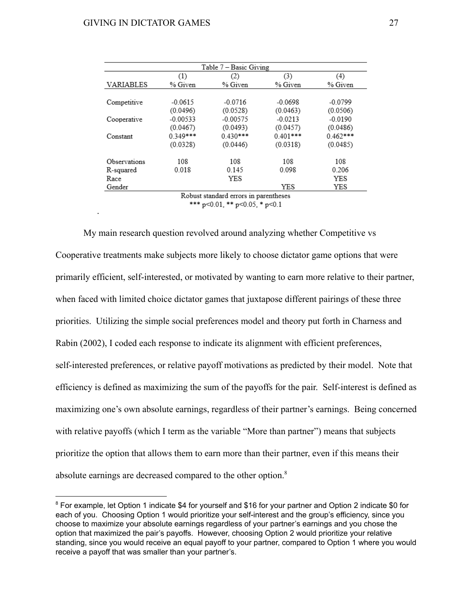.

|                  |            | Table 7 - Basic Giving                |            |            |
|------------------|------------|---------------------------------------|------------|------------|
|                  | (1)        | (2)                                   | (3)        | (4)        |
| <b>VARIABLES</b> | % Given    | % Given                               | % Given    | % Given    |
|                  |            |                                       |            |            |
| Competitive      | $-0.0615$  | $-0.0716$                             | $-0.0698$  | $-0.0799$  |
|                  | (0.0496)   | (0.0528)                              | (0.0463)   | (0.0506)   |
| Cooperative      | $-0.00533$ | $-0.00575$                            | $-0.0213$  | $-0.0190$  |
|                  | (0.0467)   | (0.0493)                              | (0.0457)   | (0.0486)   |
| Constant         | $0.349***$ | $0.430***$                            | $0.401***$ | $0.462***$ |
|                  | (0.0328)   | (0.0446)                              | (0.0318)   | (0.0485)   |
| Observations     | 108        | 108                                   | 108        | 108        |
| R-squared        | 0.018      | 0.145                                 | 0.098      | 0.206      |
| Race             |            | YES                                   |            | YES        |
| Gender           |            |                                       | YES        | YES        |
|                  |            | Robust standard errors in parentheses |            |            |

\*\*\*  $p<0.01$ , \*\*  $p<0.05$ , \*  $p<0.1$ 

My main research question revolved around analyzing whether Competitive vs Cooperative treatments make subjects more likely to choose dictator game options that were primarily efficient, self-interested, or motivated by wanting to earn more relative to their partner, when faced with limited choice dictator games that juxtapose different pairings of these three priorities. Utilizing the simple social preferences model and theory put forth in Charness and Rabin (2002), I coded each response to indicate its alignment with efficient preferences, self-interested preferences, or relative payoff motivations as predicted by their model. Note that efficiency is defined as maximizing the sum of the payoffs for the pair. Self-interest is defined as maximizing one's own absolute earnings, regardless of their partner's earnings. Being concerned with relative payoffs (which I term as the variable "More than partner") means that subjects prioritize the option that allows them to earn more than their partner, even if this means their absolute earnings are decreased compared to the other option.<sup>8</sup>

<sup>&</sup>lt;sup>8</sup> For example, let Option 1 indicate \$4 for yourself and \$16 for your partner and Option 2 indicate \$0 for each of you. Choosing Option 1 would prioritize your self-interest and the group's efficiency, since you choose to maximize your absolute earnings regardless of your partner's earnings and you chose the option that maximized the pair's payoffs. However, choosing Option 2 would prioritize your relative standing, since you would receive an equal payoff to your partner, compared to Option 1 where you would receive a payoff that was smaller than your partner's.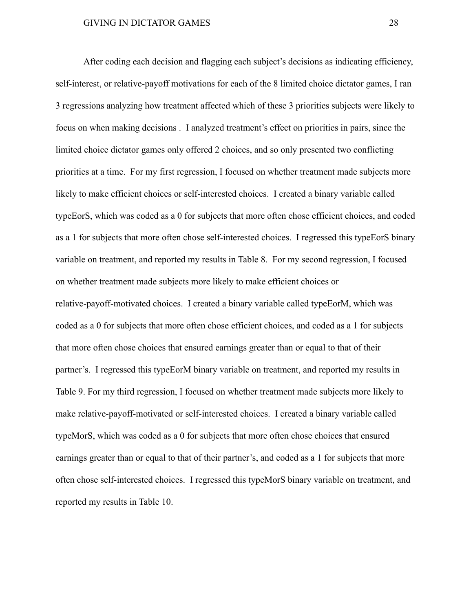After coding each decision and flagging each subject's decisions as indicating efficiency, self-interest, or relative-payoff motivations for each of the 8 limited choice dictator games, I ran 3 regressions analyzing how treatment affected which of these 3 priorities subjects were likely to focus on when making decisions . I analyzed treatment's effect on priorities in pairs, since the limited choice dictator games only offered 2 choices, and so only presented two conflicting priorities at a time. For my first regression, I focused on whether treatment made subjects more likely to make efficient choices or self-interested choices. I created a binary variable called typeEorS, which was coded as a 0 for subjects that more often chose efficient choices, and coded as a 1 for subjects that more often chose self-interested choices. I regressed this typeEorS binary variable on treatment, and reported my results in Table 8. For my second regression, I focused on whether treatment made subjects more likely to make efficient choices or relative-payoff-motivated choices. I created a binary variable called typeEorM, which was coded as a 0 for subjects that more often chose efficient choices, and coded as a 1 for subjects that more often chose choices that ensured earnings greater than or equal to that of their partner's. I regressed this typeEorM binary variable on treatment, and reported my results in Table 9. For my third regression, I focused on whether treatment made subjects more likely to make relative-payoff-motivated or self-interested choices. I created a binary variable called typeMorS, which was coded as a 0 for subjects that more often chose choices that ensured earnings greater than or equal to that of their partner's, and coded as a 1 for subjects that more often chose self-interested choices. I regressed this typeMorS binary variable on treatment, and reported my results in Table 10.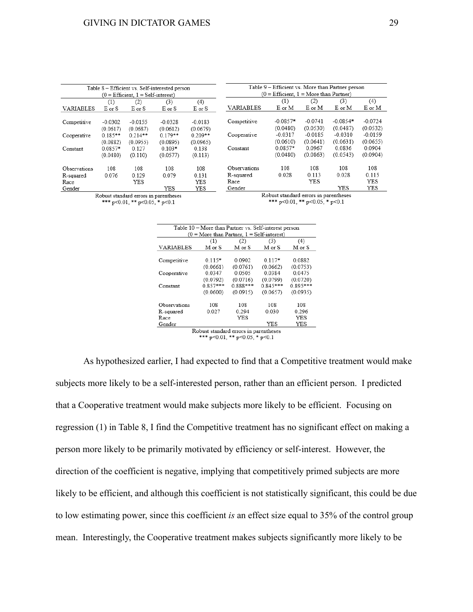|                                                    |           |           | Table 8 - Efficient vs. Self-interested person |                                                        |              | Table 9 – Efficient vs. More than Partner person |           |            |           |
|----------------------------------------------------|-----------|-----------|------------------------------------------------|--------------------------------------------------------|--------------|--------------------------------------------------|-----------|------------|-----------|
| $(0 = \text{Efficient}, 1 = \text{Self-interset})$ |           |           |                                                | $(0 = \text{Efficient}, 1 = \text{More than Partner})$ |              |                                                  |           |            |           |
|                                                    | (1)       | (2)       | (3)                                            | (4)                                                    |              | (1)                                              | (2)       | (3)        | (4)       |
| VARIABLES                                          | E or S    | E or S    | E or S                                         | E or S                                                 | VARIABLES    | E or M                                           | E or M    | E or M     | E or M    |
|                                                    |           |           |                                                |                                                        |              |                                                  |           |            |           |
| Competitive                                        | $-0.0302$ | $-0.0155$ | $-0.0328$                                      | $-0.0183$                                              | Competitive  | $-0.0857*$                                       | $-0.0741$ | $-0.0854*$ | $-0.0724$ |
|                                                    | (0.0617)  | (0.0687)  | (0.0612)                                       | (0.0679)                                               |              | (0.0480)                                         | (0.0530)  | (0.0487)   | (0.0532)  |
| Cooperative                                        | $0.185**$ | $0.214**$ | $0.179**$                                      | $0.209**$                                              | Cooperative  | $-0.0317$                                        | $-0.0185$ | $-0.0310$  | $-0.0159$ |
|                                                    | (0.0882)  | (0.0955)  | (0.0895)                                       | (0.0965)                                               |              | (0.0610)                                         | (0.0641)  | (0.0631)   | (0.0655)  |
| Constant                                           | $0.0857*$ | 0.127     | $0.103*$                                       | 0.138                                                  | Constant     | $0.0857*$                                        | 0.0967    | 0.0836     | 0.0904    |
|                                                    | (0.0480)  | (0.110)   | (0.0577)                                       | (0.113)                                                |              | (0.0480)                                         | (0.0863)  | (0.0543)   | (0.0904)  |
| Observations                                       | 108       | 108       | 108                                            | 108                                                    | Observations | 108                                              | 108       | 108        | 108       |
| R-squared                                          | 0.076     | 0.129     | 0.079                                          | 0.131                                                  | R-squared    | 0.028                                            | 0.113     | 0.028      | 0.115     |
| Race                                               |           | YES       |                                                | YES                                                    | Race         |                                                  | YES       |            | YES       |
| Gender                                             |           |           | YES                                            | YES                                                    | Gender       |                                                  |           | YES        | YES       |
|                                                    |           |           | Robust standard errors in parentheses          |                                                        |              | Robust standard errors in parentheses            |           |            |           |

\*\*\*  $p<0.01$ , \*\*  $p<0.05$ , \*  $p<0.1$ 

\*\*\*  $p<0.01$ , \*\*  $p<0.05$ , \*  $p<0.1$ 

|                  | Table 10 - More than Partner vs. Self-interest person |          |            |            |  |  |  |  |
|------------------|-------------------------------------------------------|----------|------------|------------|--|--|--|--|
|                  | $(0 = More than Partner, 1 = Self-interest)$          |          |            |            |  |  |  |  |
|                  | (1)                                                   | (2)      | (3)        | (4)        |  |  |  |  |
| <b>VARIABLES</b> | M or S                                                | M or S   | M or S     | M or S     |  |  |  |  |
|                  |                                                       |          |            |            |  |  |  |  |
| Competitive      | $0.115*$                                              | 0.0902   | $0.117*$   | 0.0882     |  |  |  |  |
|                  | (0.0661)                                              | (0.0761) | (0.0662)   | (0.0753)   |  |  |  |  |
| Cooperative      | 0.0347                                                | 0.0505   | 0.0384     | 0.0475     |  |  |  |  |
|                  | (0.0792)                                              | (0.0716) | (0.0799)   | (0.0720)   |  |  |  |  |
| Constant         | $0.857***$                                            | 0.888*** | $0.845***$ | $0.895***$ |  |  |  |  |
|                  | (0.0600)                                              | (0.0915) | (0.0657)   | (0.0935)   |  |  |  |  |
| Observations     | 108                                                   | 108      | 108        | 108        |  |  |  |  |
|                  |                                                       |          |            |            |  |  |  |  |
| R-squared        | 0.027                                                 | 0.294    | 0.030      | 0.296      |  |  |  |  |
| Race             |                                                       | YES      |            | YES        |  |  |  |  |
| Gender           |                                                       |          | YES        | YES        |  |  |  |  |
|                  | Distance as a direct concern for a consistence.       |          |            |            |  |  |  |  |

Robust standard errors in parentheses<br>\*\*\* p<0.01, \*\* p<0.05, \* p<0.1

As hypothesized earlier, I had expected to find that a Competitive treatment would make subjects more likely to be a self-interested person, rather than an efficient person. I predicted that a Cooperative treatment would make subjects more likely to be efficient. Focusing on regression (1) in Table 8, I find the Competitive treatment has no significant effect on making a person more likely to be primarily motivated by efficiency or self-interest. However, the direction of the coefficient is negative, implying that competitively primed subjects are more likely to be efficient, and although this coefficient is not statistically significant, this could be due to low estimating power, since this coefficient *is* an effect size equal to 35% of the control group mean. Interestingly, the Cooperative treatment makes subjects significantly more likely to be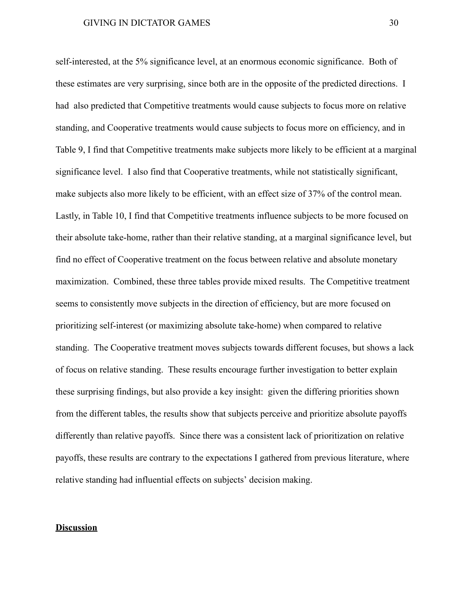self-interested, at the 5% significance level, at an enormous economic significance. Both of these estimates are very surprising, since both are in the opposite of the predicted directions. I had also predicted that Competitive treatments would cause subjects to focus more on relative standing, and Cooperative treatments would cause subjects to focus more on efficiency, and in Table 9, I find that Competitive treatments make subjects more likely to be efficient at a marginal significance level. I also find that Cooperative treatments, while not statistically significant, make subjects also more likely to be efficient, with an effect size of 37% of the control mean. Lastly, in Table 10, I find that Competitive treatments influence subjects to be more focused on their absolute take-home, rather than their relative standing, at a marginal significance level, but find no effect of Cooperative treatment on the focus between relative and absolute monetary maximization. Combined, these three tables provide mixed results. The Competitive treatment seems to consistently move subjects in the direction of efficiency, but are more focused on prioritizing self-interest (or maximizing absolute take-home) when compared to relative standing. The Cooperative treatment moves subjects towards different focuses, but shows a lack of focus on relative standing. These results encourage further investigation to better explain these surprising findings, but also provide a key insight: given the differing priorities shown from the different tables, the results show that subjects perceive and prioritize absolute payoffs differently than relative payoffs. Since there was a consistent lack of prioritization on relative payoffs, these results are contrary to the expectations I gathered from previous literature, where relative standing had influential effects on subjects' decision making.

### **Discussion**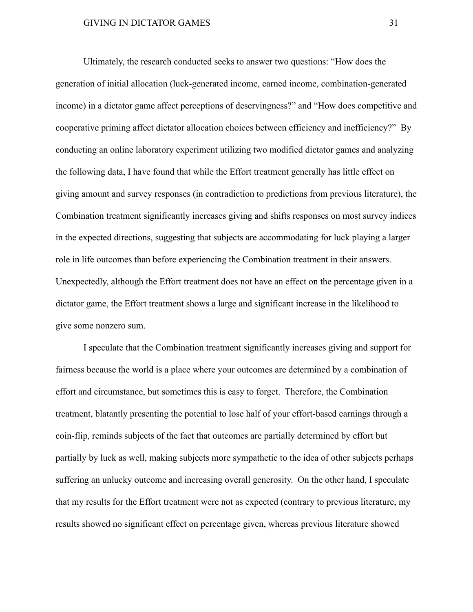Ultimately, the research conducted seeks to answer two questions: "How does the generation of initial allocation (luck-generated income, earned income, combination-generated income) in a dictator game affect perceptions of deservingness?" and "How does competitive and cooperative priming affect dictator allocation choices between efficiency and inefficiency?" By conducting an online laboratory experiment utilizing two modified dictator games and analyzing the following data, I have found that while the Effort treatment generally has little effect on giving amount and survey responses (in contradiction to predictions from previous literature), the Combination treatment significantly increases giving and shifts responses on most survey indices in the expected directions, suggesting that subjects are accommodating for luck playing a larger role in life outcomes than before experiencing the Combination treatment in their answers. Unexpectedly, although the Effort treatment does not have an effect on the percentage given in a dictator game, the Effort treatment shows a large and significant increase in the likelihood to give some nonzero sum.

I speculate that the Combination treatment significantly increases giving and support for fairness because the world is a place where your outcomes are determined by a combination of effort and circumstance, but sometimes this is easy to forget. Therefore, the Combination treatment, blatantly presenting the potential to lose half of your effort-based earnings through a coin-flip, reminds subjects of the fact that outcomes are partially determined by effort but partially by luck as well, making subjects more sympathetic to the idea of other subjects perhaps suffering an unlucky outcome and increasing overall generosity. On the other hand, I speculate that my results for the Effort treatment were not as expected (contrary to previous literature, my results showed no significant effect on percentage given, whereas previous literature showed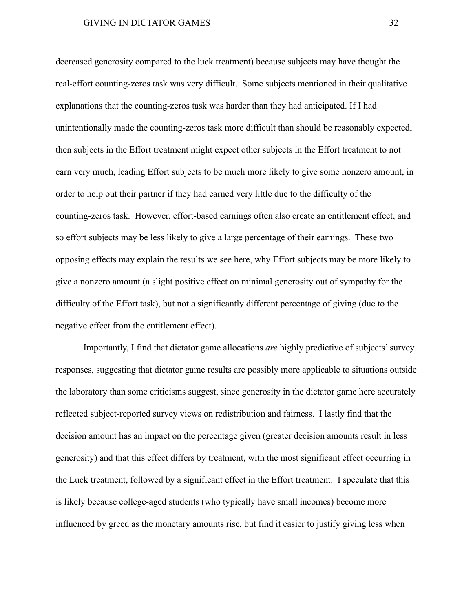decreased generosity compared to the luck treatment) because subjects may have thought the real-effort counting-zeros task was very difficult. Some subjects mentioned in their qualitative explanations that the counting-zeros task was harder than they had anticipated. If I had unintentionally made the counting-zeros task more difficult than should be reasonably expected, then subjects in the Effort treatment might expect other subjects in the Effort treatment to not earn very much, leading Effort subjects to be much more likely to give some nonzero amount, in order to help out their partner if they had earned very little due to the difficulty of the counting-zeros task. However, effort-based earnings often also create an entitlement effect, and so effort subjects may be less likely to give a large percentage of their earnings. These two opposing effects may explain the results we see here, why Effort subjects may be more likely to give a nonzero amount (a slight positive effect on minimal generosity out of sympathy for the difficulty of the Effort task), but not a significantly different percentage of giving (due to the negative effect from the entitlement effect).

Importantly, I find that dictator game allocations *are* highly predictive of subjects' survey responses, suggesting that dictator game results are possibly more applicable to situations outside the laboratory than some criticisms suggest, since generosity in the dictator game here accurately reflected subject-reported survey views on redistribution and fairness. I lastly find that the decision amount has an impact on the percentage given (greater decision amounts result in less generosity) and that this effect differs by treatment, with the most significant effect occurring in the Luck treatment, followed by a significant effect in the Effort treatment. I speculate that this is likely because college-aged students (who typically have small incomes) become more influenced by greed as the monetary amounts rise, but find it easier to justify giving less when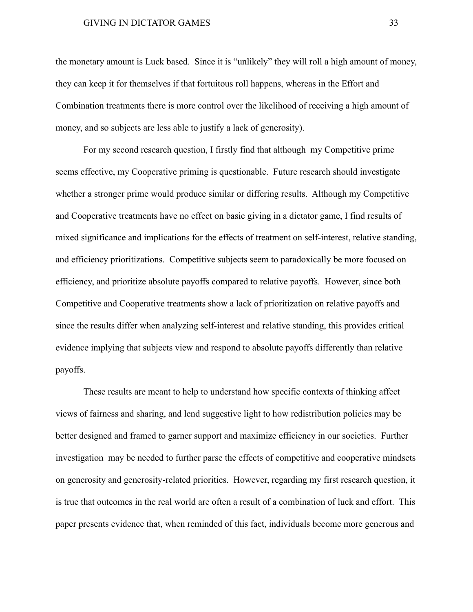the monetary amount is Luck based. Since it is "unlikely" they will roll a high amount of money, they can keep it for themselves if that fortuitous roll happens, whereas in the Effort and Combination treatments there is more control over the likelihood of receiving a high amount of money, and so subjects are less able to justify a lack of generosity).

For my second research question, I firstly find that although my Competitive prime seems effective, my Cooperative priming is questionable. Future research should investigate whether a stronger prime would produce similar or differing results. Although my Competitive and Cooperative treatments have no effect on basic giving in a dictator game, I find results of mixed significance and implications for the effects of treatment on self-interest, relative standing, and efficiency prioritizations. Competitive subjects seem to paradoxically be more focused on efficiency, and prioritize absolute payoffs compared to relative payoffs. However, since both Competitive and Cooperative treatments show a lack of prioritization on relative payoffs and since the results differ when analyzing self-interest and relative standing, this provides critical evidence implying that subjects view and respond to absolute payoffs differently than relative payoffs.

These results are meant to help to understand how specific contexts of thinking affect views of fairness and sharing, and lend suggestive light to how redistribution policies may be better designed and framed to garner support and maximize efficiency in our societies. Further investigation may be needed to further parse the effects of competitive and cooperative mindsets on generosity and generosity-related priorities. However, regarding my first research question, it is true that outcomes in the real world are often a result of a combination of luck and effort. This paper presents evidence that, when reminded of this fact, individuals become more generous and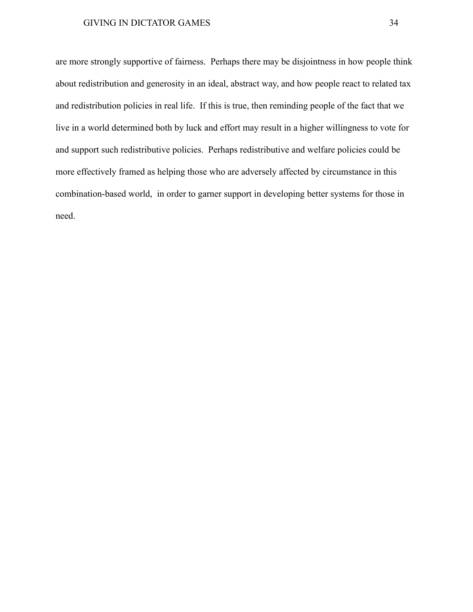are more strongly supportive of fairness. Perhaps there may be disjointness in how people think about redistribution and generosity in an ideal, abstract way, and how people react to related tax and redistribution policies in real life. If this is true, then reminding people of the fact that we live in a world determined both by luck and effort may result in a higher willingness to vote for and support such redistributive policies. Perhaps redistributive and welfare policies could be more effectively framed as helping those who are adversely affected by circumstance in this combination-based world, in order to garner support in developing better systems for those in need.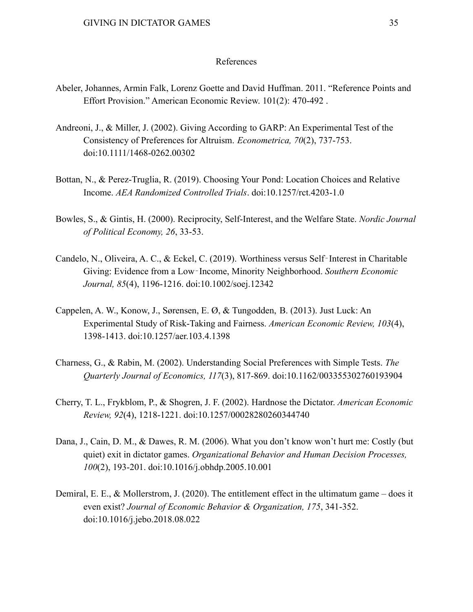#### References

- Abeler, Johannes, Armin Falk, Lorenz Goette and David Huffman. 2011. "Reference Points and Effort Provision." American Economic Review. 101(2): 470-492 .
- Andreoni, J., & Miller, J. (2002). Giving According to GARP: An Experimental Test of the Consistency of Preferences for Altruism. *Econometrica, 70*(2), 737-753. doi:10.1111/1468-0262.00302
- Bottan, N., & Perez-Truglia, R. (2019). Choosing Your Pond: Location Choices and Relative Income. *AEA Randomized Controlled Trials*. doi:10.1257/rct.4203-1.0
- Bowles, S., & Gintis, H. (2000). Reciprocity, Self-Interest, and the Welfare State. *Nordic Journal of Political Economy, 26*, 33-53.
- Candelo, N., Oliveira, A. C., & Eckel, C. (2019). Worthiness versus Self‐Interest in Charitable Giving: Evidence from a Low‐Income, Minority Neighborhood. *Southern Economic Journal, 85*(4), 1196-1216. doi:10.1002/soej.12342
- Cappelen, A. W., Konow, J., Sørensen, E. Ø, & Tungodden, B. (2013). Just Luck: An Experimental Study of Risk-Taking and Fairness. *American Economic Review, 103*(4), 1398-1413. doi:10.1257/aer.103.4.1398
- Charness, G., & Rabin, M. (2002). Understanding Social Preferences with Simple Tests. *The Quarterly Journal of Economics, 117*(3), 817-869. doi:10.1162/003355302760193904
- Cherry, T. L., Frykblom, P., & Shogren, J. F. (2002). Hardnose the Dictator. *American Economic Review, 92*(4), 1218-1221. doi:10.1257/00028280260344740
- Dana, J., Cain, D. M., & Dawes, R. M. (2006). What you don't know won't hurt me: Costly (but quiet) exit in dictator games. *Organizational Behavior and Human Decision Processes, 100*(2), 193-201. doi:10.1016/j.obhdp.2005.10.001
- Demiral, E. E., & Mollerstrom, J. (2020). The entitlement effect in the ultimatum game does it even exist? *Journal of Economic Behavior & Organization, 175*, 341-352. doi:10.1016/j.jebo.2018.08.022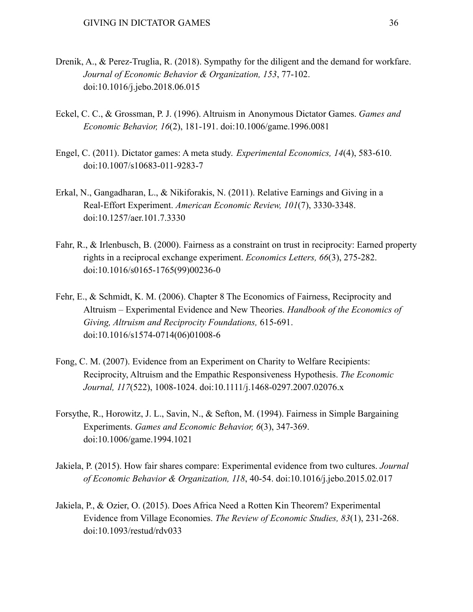- Drenik, A., & Perez-Truglia, R. (2018). Sympathy for the diligent and the demand for workfare. *Journal of Economic Behavior & Organization, 153*, 77-102. doi:10.1016/j.jebo.2018.06.015
- Eckel, C. C., & Grossman, P. J. (1996). Altruism in Anonymous Dictator Games. *Games and Economic Behavior, 16*(2), 181-191. doi:10.1006/game.1996.0081
- Engel, C. (2011). Dictator games: A meta study. *Experimental Economics, 14*(4), 583-610. doi:10.1007/s10683-011-9283-7
- Erkal, N., Gangadharan, L., & Nikiforakis, N. (2011). Relative Earnings and Giving in a Real-Effort Experiment. *American Economic Review, 101*(7), 3330-3348. doi:10.1257/aer.101.7.3330
- Fahr, R., & Irlenbusch, B. (2000). Fairness as a constraint on trust in reciprocity: Earned property rights in a reciprocal exchange experiment. *Economics Letters, 66*(3), 275-282. doi:10.1016/s0165-1765(99)00236-0
- Fehr, E., & Schmidt, K. M. (2006). Chapter 8 The Economics of Fairness, Reciprocity and Altruism – Experimental Evidence and New Theories. *Handbook of the Economics of Giving, Altruism and Reciprocity Foundations,* 615-691. doi:10.1016/s1574-0714(06)01008-6
- Fong, C. M. (2007). Evidence from an Experiment on Charity to Welfare Recipients: Reciprocity, Altruism and the Empathic Responsiveness Hypothesis. *The Economic Journal, 117*(522), 1008-1024. doi:10.1111/j.1468-0297.2007.02076.x
- Forsythe, R., Horowitz, J. L., Savin, N., & Sefton, M. (1994). Fairness in Simple Bargaining Experiments. *Games and Economic Behavior, 6*(3), 347-369. doi:10.1006/game.1994.1021
- Jakiela, P. (2015). How fair shares compare: Experimental evidence from two cultures. *Journal of Economic Behavior & Organization, 118*, 40-54. doi:10.1016/j.jebo.2015.02.017
- Jakiela, P., & Ozier, O. (2015). Does Africa Need a Rotten Kin Theorem? Experimental Evidence from Village Economies. *The Review of Economic Studies, 83*(1), 231-268. doi:10.1093/restud/rdv033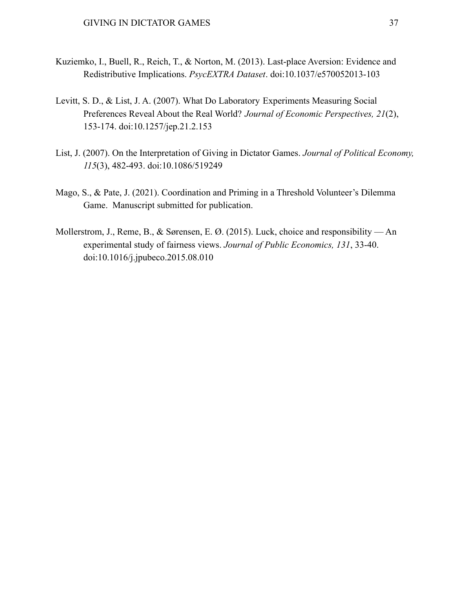- Kuziemko, I., Buell, R., Reich, T., & Norton, M. (2013). Last-place Aversion: Evidence and Redistributive Implications. *PsycEXTRA Dataset*. doi:10.1037/e570052013-103
- Levitt, S. D., & List, J. A. (2007). What Do Laboratory Experiments Measuring Social Preferences Reveal About the Real World? *Journal of Economic Perspectives, 21*(2), 153-174. doi:10.1257/jep.21.2.153
- List, J. (2007). On the Interpretation of Giving in Dictator Games. *Journal of Political Economy, 115*(3), 482-493. doi:10.1086/519249
- Mago, S., & Pate, J. (2021). Coordination and Priming in a Threshold Volunteer's Dilemma Game. Manuscript submitted for publication.
- Mollerstrom, J., Reme, B., & Sørensen, E. Ø. (2015). Luck, choice and responsibility An experimental study of fairness views. *Journal of Public Economics, 131*, 33-40. doi:10.1016/j.jpubeco.2015.08.010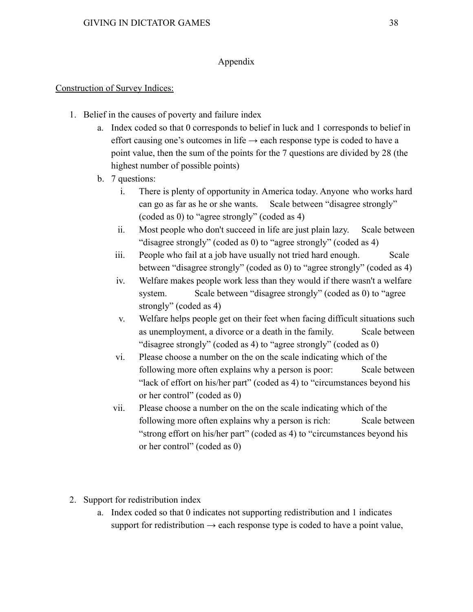## Appendix

## Construction of Survey Indices:

- 1. Belief in the causes of poverty and failure index
	- a. Index coded so that 0 corresponds to belief in luck and 1 corresponds to belief in effort causing one's outcomes in life  $\rightarrow$  each response type is coded to have a point value, then the sum of the points for the 7 questions are divided by 28 (the highest number of possible points)
	- b. 7 questions:
		- i. There is plenty of opportunity in America today. Anyone who works hard can go as far as he or she wants. Scale between "disagree strongly" (coded as 0) to "agree strongly" (coded as 4)
		- ii. Most people who don't succeed in life are just plain lazy. Scale between "disagree strongly" (coded as 0) to "agree strongly" (coded as 4)
		- iii. People who fail at a job have usually not tried hard enough. Scale between "disagree strongly" (coded as 0) to "agree strongly" (coded as 4)
		- iv. Welfare makes people work less than they would if there wasn't a welfare system. Scale between "disagree strongly" (coded as 0) to "agree strongly" (coded as 4)
		- v. Welfare helps people get on their feet when facing difficult situations such as unemployment, a divorce or a death in the family. Scale between "disagree strongly" (coded as 4) to "agree strongly" (coded as 0)
		- vi. Please choose a number on the on the scale indicating which of the following more often explains why a person is poor: Scale between "lack of effort on his/her part" (coded as 4) to "circumstances beyond his or her control" (coded as 0)
		- vii. Please choose a number on the on the scale indicating which of the following more often explains why a person is rich: Scale between "strong effort on his/her part" (coded as 4) to "circumstances beyond his or her control" (coded as 0)
- 2. Support for redistribution index
	- a. Index coded so that 0 indicates not supporting redistribution and 1 indicates support for redistribution  $\rightarrow$  each response type is coded to have a point value,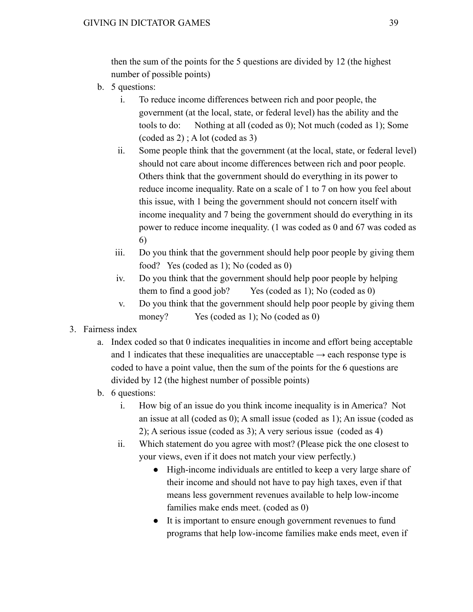then the sum of the points for the 5 questions are divided by 12 (the highest number of possible points)

- b. 5 questions:
	- i. To reduce income differences between rich and poor people, the government (at the local, state, or federal level) has the ability and the tools to do: Nothing at all (coded as 0); Not much (coded as 1); Some (coded as 2) ; A lot (coded as 3)
	- ii. Some people think that the government (at the local, state, or federal level) should not care about income differences between rich and poor people. Others think that the government should do everything in its power to reduce income inequality. Rate on a scale of 1 to 7 on how you feel about this issue, with 1 being the government should not concern itself with income inequality and 7 being the government should do everything in its power to reduce income inequality. (1 was coded as 0 and 67 was coded as 6)
	- iii. Do you think that the government should help poor people by giving them food? Yes (coded as 1); No (coded as 0)
	- iv. Do you think that the government should help poor people by helping them to find a good job? Yes (coded as 1); No (coded as 0)
	- v. Do you think that the government should help poor people by giving them money? Yes (coded as 1); No (coded as 0)
- 3. Fairness index
	- a. Index coded so that 0 indicates inequalities in income and effort being acceptable and 1 indicates that these inequalities are unacceptable  $\rightarrow$  each response type is coded to have a point value, then the sum of the points for the 6 questions are divided by 12 (the highest number of possible points)
	- b. 6 questions:
		- i. How big of an issue do you think income inequality is in America? Not an issue at all (coded as 0); A small issue (coded as 1); An issue (coded as 2); A serious issue (coded as 3); A very serious issue (coded as 4)
		- ii. Which statement do you agree with most? (Please pick the one closest to your views, even if it does not match your view perfectly.)
			- High-income individuals are entitled to keep a very large share of their income and should not have to pay high taxes, even if that means less government revenues available to help low-income families make ends meet. (coded as 0)
			- It is important to ensure enough government revenues to fund programs that help low-income families make ends meet, even if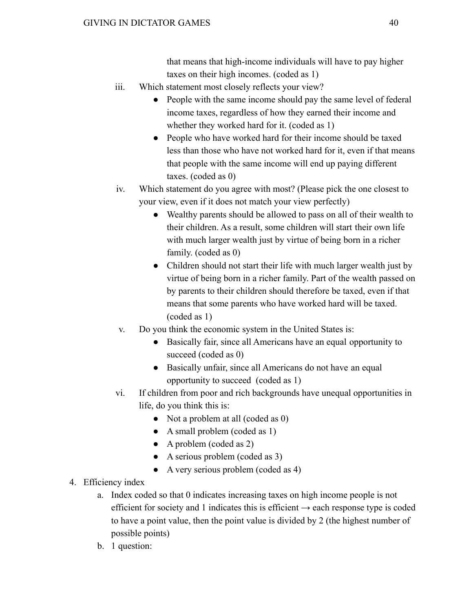that means that high-income individuals will have to pay higher taxes on their high incomes. (coded as 1)

- iii. Which statement most closely reflects your view?
	- People with the same income should pay the same level of federal income taxes, regardless of how they earned their income and whether they worked hard for it. (coded as 1)
	- People who have worked hard for their income should be taxed less than those who have not worked hard for it, even if that means that people with the same income will end up paying different taxes. (coded as 0)
- iv. Which statement do you agree with most? (Please pick the one closest to your view, even if it does not match your view perfectly)
	- Wealthy parents should be allowed to pass on all of their wealth to their children. As a result, some children will start their own life with much larger wealth just by virtue of being born in a richer family. (coded as 0)
	- Children should not start their life with much larger wealth just by virtue of being born in a richer family. Part of the wealth passed on by parents to their children should therefore be taxed, even if that means that some parents who have worked hard will be taxed. (coded as 1)
- v. Do you think the economic system in the United States is:
	- Basically fair, since all Americans have an equal opportunity to succeed (coded as 0)
	- Basically unfair, since all Americans do not have an equal opportunity to succeed (coded as 1)
- vi. If children from poor and rich backgrounds have unequal opportunities in life, do you think this is:
	- Not a problem at all (coded as 0)
	- A small problem (coded as 1)
	- $\bullet$  A problem (coded as 2)
	- A serious problem (coded as 3)
	- A very serious problem (coded as 4)
- 4. Efficiency index
	- a. Index coded so that 0 indicates increasing taxes on high income people is not efficient for society and 1 indicates this is efficient  $\rightarrow$  each response type is coded to have a point value, then the point value is divided by 2 (the highest number of possible points)
	- b. 1 question: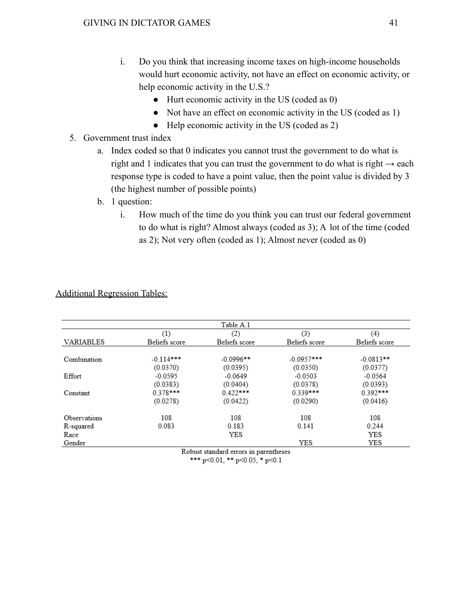- i. Do you think that increasing income taxes on high-income households would hurt economic activity, not have an effect on economic activity, or help economic activity in the U.S.?
	- Hurt economic activity in the US (coded as 0)
	- Not have an effect on economic activity in the US (coded as 1)
	- Help economic activity in the US (coded as 2)
- 5. Government trust index
	- a. Index coded so that 0 indicates you cannot trust the government to do what is right and 1 indicates that you can trust the government to do what is right  $\rightarrow$  each response type is coded to have a point value, then the point value is divided by 3 (the highest number of possible points)
	- b. 1 question:
		- i. How much of the time do you think you can trust our federal government to do what is right? Almost always (coded as 3); A lot of the time (coded as 2); Not very often (coded as 1); Almost never (coded as 0)

|                  |               | Table A.1     |               |               |
|------------------|---------------|---------------|---------------|---------------|
|                  | (1)           | (2)           | (3)           | (4)           |
| <b>VARIABLES</b> | Beliefs score | Beliefs score | Beliefs score | Beliefs score |
| Combination      | $-0.114***$   | $-0.0996**$   | $-0.0957$ *** | $-0.0813**$   |
|                  | (0.0370)      | (0.0395)      | (0.0350)      | (0.0377)      |
| Effort           | $-0.0595$     | $-0.0649$     | $-0.0503$     | $-0.0564$     |
|                  | (0.0383)      | (0.0404)      | (0.0378)      | (0.0393)      |
| Constant         | $0.378***$    | $0.422***$    | $0.339***$    | $0.392***$    |
|                  | (0.0278)      | (0.0422)      | (0.0290)      | (0.0416)      |
| Observations     | 108           | 108           | 108           | 108           |
| R-squared        | 0.083         | 0.183         | 0.141         | 0.244         |
| Race             |               | YES           |               | YES           |
| Gender           |               |               | YES           | YES           |

Additional Regression Tables:

Robust standard errors in parentheses \*\*\* p<0.01, \*\* p<0.05, \* p<0.1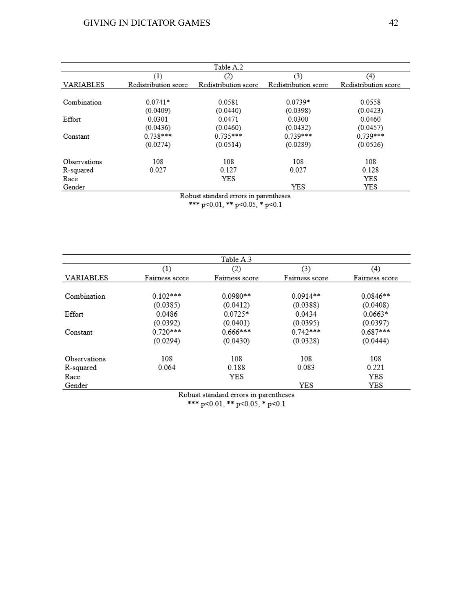| Table A.2    |                      |                      |                      |                      |  |  |  |  |
|--------------|----------------------|----------------------|----------------------|----------------------|--|--|--|--|
|              | (1)                  | (2)                  | (3)                  | (4)                  |  |  |  |  |
| VARIABLES    | Redistribution score | Redistribution score | Redistribution score | Redistribution score |  |  |  |  |
| Combination  | $0.0741*$            | 0.0581               | $0.0739*$            | 0.0558               |  |  |  |  |
|              | (0.0409)             | (0.0440)             | (0.0398)             | (0.0423)             |  |  |  |  |
| Effort       | 0.0301               | 0.0471               | 0.0300               | 0.0460               |  |  |  |  |
|              | (0.0436)             | (0.0460)             | (0.0432)             | (0.0457)             |  |  |  |  |
| Constant     | $0.738***$           | $0.735***$           | $0.739***$           | $0.739***$           |  |  |  |  |
|              | (0.0274)             | (0.0514)             | (0.0289)             | (0.0526)             |  |  |  |  |
| Observations | 108                  | 108                  | 108                  | 108                  |  |  |  |  |
| R-squared    | 0.027                | 0.127                | 0.027                | 0.128                |  |  |  |  |
| Race         |                      | YES                  |                      | YES                  |  |  |  |  |
| Gender       |                      |                      | YES                  | YES                  |  |  |  |  |

Robust standard errors in parentheses<br>\*\*\* p<0.01, \*\* p<0.05, \* p<0.1

|              |                | Table A.3      |                |                |
|--------------|----------------|----------------|----------------|----------------|
|              | (1)            | (2)            | (3)            | (4)            |
| VARIABLES    | Fairness score | Fairness score | Fairness score | Fairness score |
|              |                |                |                |                |
| Combination  | $0.102***$     | $0.0980**$     | $0.0914**$     | $0.0846**$     |
|              | (0.0385)       | (0.0412)       | (0.0388)       | (0.0408)       |
| Effort       | 0.0486         | $0.0725*$      | 0.0434         | $0.0663*$      |
|              | (0.0392)       | (0.0401)       | (0.0395)       | (0.0397)       |
| Constant     | $0.720***$     | $0.666***$     | $0.742***$     | $0.687***$     |
|              | (0.0294)       | (0.0430)       | (0.0328)       | (0.0444)       |
| Observations | 108            | 108            | 108            | 108            |
| R-squared    | 0.064          | 0.188          | 0.083          | 0.221          |
| Race         |                | YES            |                | YES            |
| Gender       |                |                | YES            | YES            |

Robust standard errors in parentheses<br>\*\*\* p<0.01, \*\* p<0.05, \* p<0.1